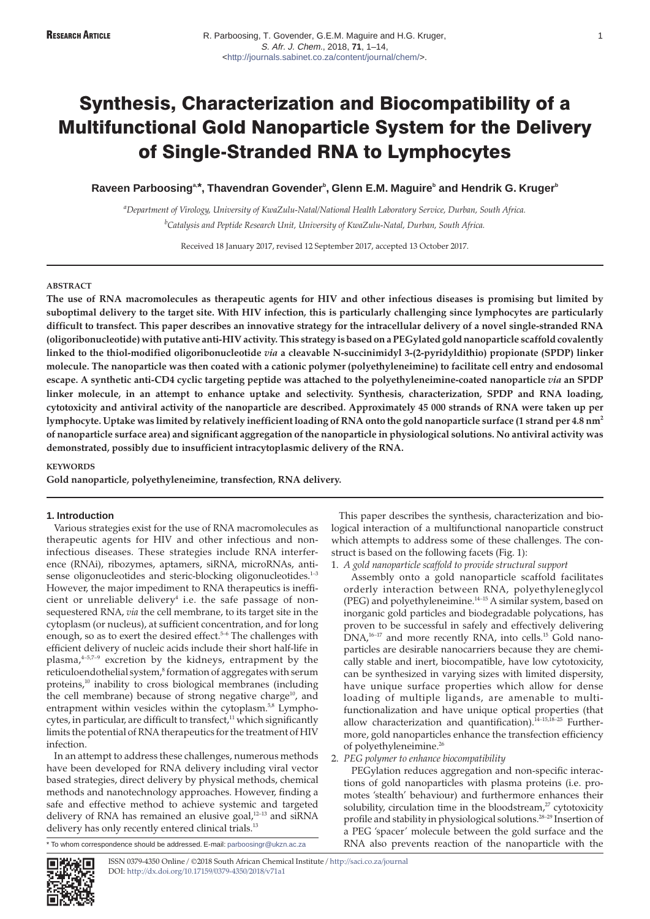$\mathsf{R}$ aveen Parboosing $\text{a}^*$ , Thavendran Govender $\text{b}$ , Glenn E.M. Maguire $\text{b}$  and Hendrik G. Kruger $\text{b}$ 

*a Department of Virology, University of KwaZulu-Natal/National Health Laboratory Service, Durban, South Africa. b Catalysis and Peptide Research Unit, University of KwaZulu-Natal, Durban, South Africa.*

Received 18 January 2017, revised 12 September 2017, accepted 13 October 2017.

## **ABSTRACT**

**The use of RNA macromolecules as therapeutic agents for HIV and other infectious diseases is promising but limited by suboptimal delivery to the target site. With HIV infection, this is particularly challenging since lymphocytes are particularly difficult to transfect. This paper describes an innovative strategy for the intracellular delivery of a novel single-stranded RNA (oligoribonucleotide) with putative anti-HIV activity. This strategy is based on a PEGylated gold nanoparticle scaffold covalently linked to the thiol-modified oligoribonucleotide** *via* **a cleavable N-succinimidyl 3-(2-pyridyldithio) propionate (SPDP) linker molecule. The nanoparticle was then coated with a cationic polymer (polyethyleneimine) to facilitate cell entry and endosomal escape. A synthetic anti-CD4 cyclic targeting peptide was attached to the polyethyleneimine-coated nanoparticle** *via* **an SPDP linker molecule, in an attempt to enhance uptake and selectivity. Synthesis, characterization, SPDP and RNA loading, cytotoxicity and antiviral activity of the nanoparticle are described. Approximately 45 000 strands of RNA were taken up per lymphocyte. Uptake was limited by relatively inefficient loading of RNA onto the gold nanoparticle surface (1 strand per 4.8 nm2 of nanoparticle surface area) and significant aggregation of the nanoparticle in physiological solutions. No antiviral activity was demonstrated, possibly due to insufficient intracytoplasmic delivery of the RNA.**

# **KEYWORDS**

**Gold nanoparticle, polyethyleneimine, transfection, RNA delivery.**

## **1. Introduction**

Various strategies exist for the use of RNA macromolecules as therapeutic agents for HIV and other infectious and noninfectious diseases. These strategies include RNA interference (RNAi), ribozymes, aptamers, siRNA, microRNAs, antisense oligonucleotides and steric-blocking oligonucleotides. $1-3$ However, the major impediment to RNA therapeutics is inefficient or unreliable delivery<sup>4</sup> i.e. the safe passage of nonsequestered RNA, *via* the cell membrane, to its target site in the cytoplasm (or nucleus), at sufficient concentration, and for long enough, so as to exert the desired effect.<sup>5-6</sup> The challenges with efficient delivery of nucleic acids include their short half-life in plasma, $4-5,7-9$  excretion by the kidneys, entrapment by the reticuloendothelial system,<sup>8</sup> formation of aggregates with serum proteins,10 inability to cross biological membranes (including the cell membrane) because of strong negative charge<sup>10</sup>, and entrapment within vesicles within the cytoplasm.<sup>5,8</sup> Lymphocytes, in particular, are difficult to transfect, $11$  which significantly limits the potential of RNA therapeutics for the treatment of HIV infection.

In an attempt to address these challenges, numerous methods have been developed for RNA delivery including viral vector based strategies, direct delivery by physical methods, chemical methods and nanotechnology approaches. However, finding a safe and effective method to achieve systemic and targeted delivery of RNA has remained an elusive goal,<sup>12-13</sup> and siRNA delivery has only recently entered clinical trials.<sup>13</sup>

\* To whom correspondence should be addressed. E-mail: [parboosingr@ukzn.ac.za](mailto:parboosingr@ukzn.ac.za)

This paper describes the synthesis, characterization and biological interaction of a multifunctional nanoparticle construct which attempts to address some of these challenges. The construct is based on the following facets (Fig. 1):

1. *A gold nanoparticle scaffold to provide structural support*

Assembly onto a gold nanoparticle scaffold facilitates orderly interaction between RNA, polyethyleneglycol (PEG) and polyethyleneimine.14–15 A similar system, based on inorganic gold particles and biodegradable polycations, has proven to be successful in safely and effectively delivering  $DNA<sub>r</sub><sup>16-17</sup>$  and more recently RNA, into cells.<sup>15</sup> Gold nanoparticles are desirable nanocarriers because they are chemically stable and inert, biocompatible, have low cytotoxicity, can be synthesized in varying sizes with limited dispersity, have unique surface properties which allow for dense loading of multiple ligands, are amenable to multifunctionalization and have unique optical properties (that allow characterization and quantification). $14-15$ ,  $18-25$  Furthermore, gold nanoparticles enhance the transfection efficiency of polyethyleneimine.<sup>26</sup>

## 2. *PEG polymer to enhance biocompatibility*

PEGylation reduces aggregation and non-specific interactions of gold nanoparticles with plasma proteins (i.e. promotes 'stealth' behaviour) and furthermore enhances their solubility, circulation time in the bloodstream, $27$  cytotoxicity profile and stability in physiological solutions.28–29 Insertion of a PEG 'spacer' molecule between the gold surface and the RNA also prevents reaction of the nanoparticle with the

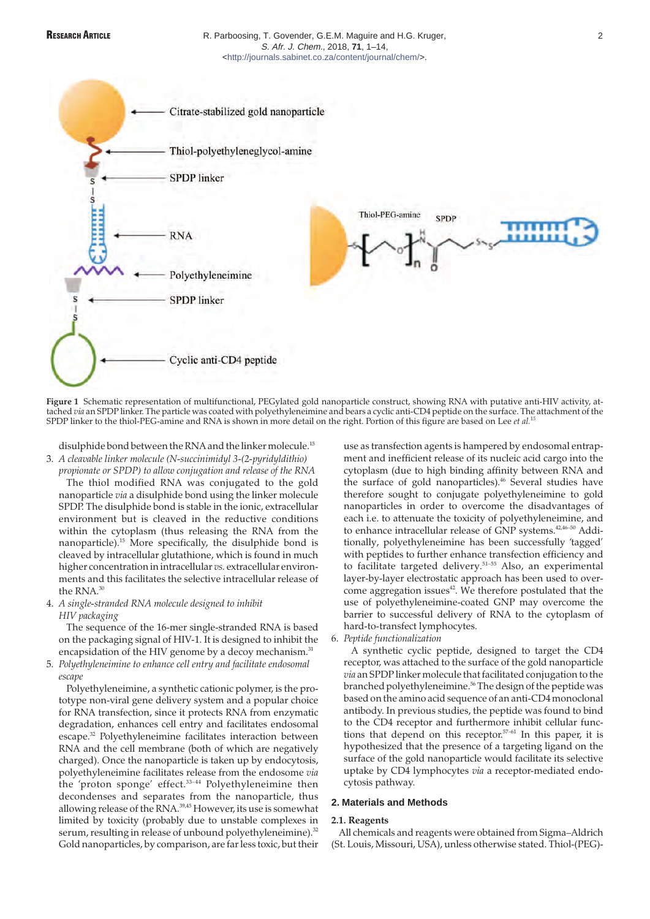

**Figure 1** Schematic representation of multifunctional, PEGylated gold nanoparticle construct, showing RNA with putative anti-HIV activity, attached *via* an SPDP linker. The particle was coated with polyethyleneimine and bears a cyclic anti-CD4 peptide on the surface. The attachment of the SPDP linker to the thiol-PEG-amine and RNA is shown in more detail on the right. Portion of this figure are based on Lee *et al.*<sup>1</sup>*<sup>5</sup>*

disulphide bond between the RNA and the linker molecule.<sup>15</sup>

3. *A cleavable linker molecule (N-succinimidyl 3-(2-pyridyldithio)*

*propionate or SPDP) to allow conjugation and release of the RNA* The thiol modified RNA was conjugated to the gold nanoparticle *via* a disulphide bond using the linker molecule SPDP. The disulphide bond is stable in the ionic, extracellular environment but is cleaved in the reductive conditions within the cytoplasm (thus releasing the RNA from the nanoparticle).15 More specifically, the disulphide bond is cleaved by intracellular glutathione, which is found in much higher concentration in intracellular *vs.* extracellular environments and this facilitates the selective intracellular release of the RNA.<sup>30</sup>

4. *A single-stranded RNA molecule designed to inhibit HIV packaging*

The sequence of the 16-mer single-stranded RNA is based on the packaging signal of HIV-1. It is designed to inhibit the encapsidation of the HIV genome by a decoy mechanism.<sup>31</sup>

5. *Polyethyleneimine to enhance cell entry and facilitate endosomal escape*

Polyethyleneimine, a synthetic cationic polymer, is the prototype non-viral gene delivery system and a popular choice for RNA transfection, since it protects RNA from enzymatic degradation, enhances cell entry and facilitates endosomal escape.32 Polyethyleneimine facilitates interaction between RNA and the cell membrane (both of which are negatively charged). Once the nanoparticle is taken up by endocytosis, polyethyleneimine facilitates release from the endosome *via* the 'proton sponge' effect.33–44 Polyethyleneimine then decondenses and separates from the nanoparticle, thus allowing release of the RNA.39,45 However, its use is somewhat limited by toxicity (probably due to unstable complexes in serum, resulting in release of unbound polyethyleneimine).<sup>32</sup> Gold nanoparticles, by comparison, are far less toxic, but their

use as transfection agents is hampered by endosomal entrapment and inefficient release of its nucleic acid cargo into the cytoplasm (due to high binding affinity between RNA and the surface of gold nanoparticles).<sup>46</sup> Several studies have therefore sought to conjugate polyethyleneimine to gold nanoparticles in order to overcome the disadvantages of each i.e. to attenuate the toxicity of polyethyleneimine, and to enhance intracellular release of GNP systems.42,46–50 Additionally, polyethyleneimine has been successfully 'tagged' with peptides to further enhance transfection efficiency and to facilitate targeted delivery.<sup>51-55</sup> Also, an experimental layer-by-layer electrostatic approach has been used to overcome aggregation issues<sup>42</sup>. We therefore postulated that the use of polyethyleneimine-coated GNP may overcome the barrier to successful delivery of RNA to the cytoplasm of hard-to-transfect lymphocytes.

6. *Peptide functionalization*

A synthetic cyclic peptide, designed to target the CD4 receptor, was attached to the surface of the gold nanoparticle *via* an SPDP linker molecule that facilitated conjugation to the branched polyethyleneimine.<sup>56</sup> The design of the peptide was based on the amino acid sequence of an anti-CD4 monoclonal antibody. In previous studies, the peptide was found to bind to the CD4 receptor and furthermore inhibit cellular functions that depend on this receptor.<sup>57-61</sup> In this paper, it is hypothesized that the presence of a targeting ligand on the surface of the gold nanoparticle would facilitate its selective uptake by CD4 lymphocytes *via* a receptor-mediated endocytosis pathway.

## **2. Materials and Methods**

## **2.1. Reagents**

All chemicals and reagents were obtained from Sigma–Aldrich (St. Louis, Missouri, USA), unless otherwise stated. Thiol-(PEG)-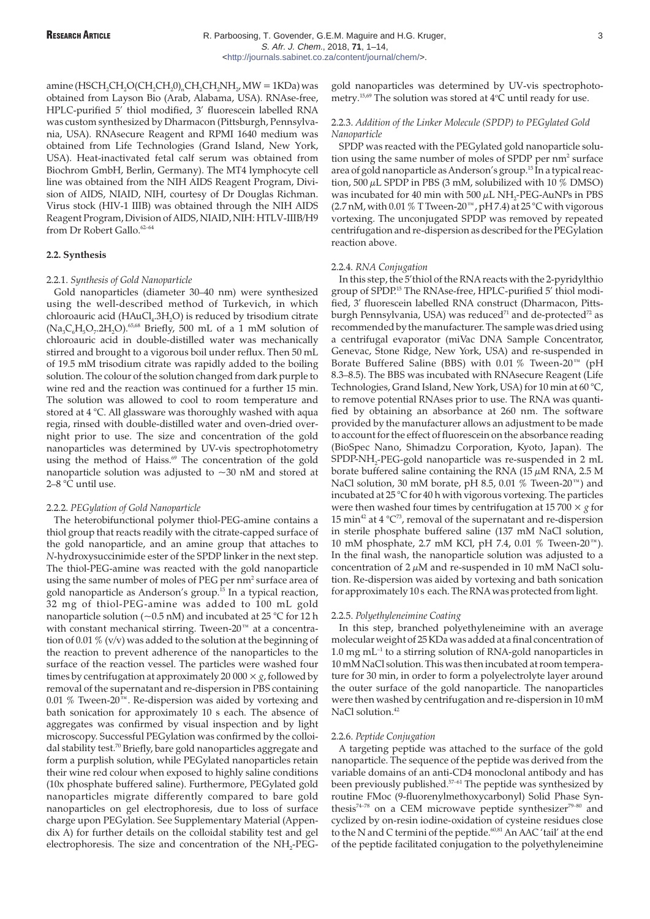amine (HSCH<sub>2</sub>CH<sub>2</sub>O(CH<sub>2</sub>CH<sub>2</sub>O<sub>n</sub>CH<sub>2</sub>CH<sub>2</sub>NH<sub>2</sub>, MW = 1KDa) was obtained from Layson Bio (Arab, Alabama, USA). RNAse-free, HPLC-purified 5' thiol modified, 3' fluorescein labelled RNA was custom synthesized by Dharmacon (Pittsburgh, Pennsylvania, USA). RNAsecure Reagent and RPMI 1640 medium was obtained from Life Technologies (Grand Island, New York, USA). Heat-inactivated fetal calf serum was obtained from Biochrom GmbH, Berlin, Germany). The MT4 lymphocyte cell line was obtained from the NIH AIDS Reagent Program, Division of AIDS, NIAID, NIH, courtesy of Dr Douglas Richman. Virus stock (HIV-1 IIIB) was obtained through the NIH AIDS Reagent Program, Division of AIDS, NIAID, NIH: HTLV-IIIB/H9 from Dr Robert Gallo.<sup>62-6</sup>

## **2.2. Synthesis**

## 2.2.1. *Synthesis of Gold Nanoparticle*

Gold nanoparticles (diameter 30–40 nm) were synthesized using the well-described method of Turkevich, in which chloroauric acid ( $HAuCl<sub>4</sub>.3H<sub>2</sub>O$ ) is reduced by trisodium citrate  $(Na<sub>3</sub>C<sub>6</sub>H<sub>5</sub>O<sub>7</sub>·2H<sub>2</sub>O).<sup>65,68</sup> Briefly, 500 mL of a 1 mM solution of$ chloroauric acid in double-distilled water was mechanically stirred and brought to a vigorous boil under reflux. Then 50 mL of 19.5 mM trisodium citrate was rapidly added to the boiling solution. The colour of the solution changed from dark purple to wine red and the reaction was continued for a further 15 min. The solution was allowed to cool to room temperature and stored at 4 °C. All glassware was thoroughly washed with aqua regia, rinsed with double-distilled water and oven-dried overnight prior to use. The size and concentration of the gold nanoparticles was determined by UV-vis spectrophotometry using the method of Haiss.<sup>69</sup> The concentration of the gold nanoparticle solution was adjusted to ~30 nM and stored at 2–8 °C until use.

## 2.2.2. *PEGylation of Gold Nanoparticle*

The heterobifunctional polymer thiol-PEG-amine contains a thiol group that reacts readily with the citrate-capped surface of the gold nanoparticle, and an amine group that attaches to *N*-hydroxysuccinimide ester of the SPDP linker in the next step. The thiol-PEG-amine was reacted with the gold nanoparticle using the same number of moles of PEG per nm<sup>2</sup> surface area of gold nanoparticle as Anderson's group.<sup>15</sup> In a typical reaction, 32 mg of thiol-PEG-amine was added to 100 mL gold nanoparticle solution (~0.5 nM) and incubated at 25 °C for 12 h with constant mechanical stirring. Tween-20™ at a concentration of 0.01  $\%$  (v/v) was added to the solution at the beginning of the reaction to prevent adherence of the nanoparticles to the surface of the reaction vessel. The particles were washed four times by centrifugation at approximately 20 000  $\times$  *g*, followed by removal of the supernatant and re-dispersion in PBS containing 0.01 % Tween-20™. Re-dispersion was aided by vortexing and bath sonication for approximately 10 s each. The absence of aggregates was confirmed by visual inspection and by light microscopy. Successful PEGylation was confirmed by the colloidal stability test.<sup>70</sup> Briefly, bare gold nanoparticles aggregate and form a purplish solution, while PEGylated nanoparticles retain their wine red colour when exposed to highly saline conditions (10x phosphate buffered saline). Furthermore, PEGylated gold nanoparticles migrate differently compared to bare gold nanoparticles on gel electrophoresis, due to loss of surface charge upon PEGylation. See Supplementary Material (Appendix A) for further details on the colloidal stability test and gel electrophoresis. The size and concentration of the NH<sub>2</sub>-PEG-

gold nanoparticles was determined by UV-vis spectrophotometry. $^{15,69}$  The solution was stored at  $4^{\circ}\mathrm{C}$  until ready for use.

## 2.2.3. *Addition of the Linker Molecule (SPDP) to PEGylated Gold Nanoparticle*

SPDP was reacted with the PEGylated gold nanoparticle solution using the same number of moles of SPDP per nm<sup>2</sup> surface area of gold nanoparticle as Anderson's group.15 In a typical reaction, 500  $\mu$ L SPDP in PBS (3 mM, solubilized with 10 % DMSO) was incubated for 40 min with 500  $\mu$ L NH<sub>2</sub>-PEG-AuNPs in PBS (2.7 nM, with 0.01 % T Tween-20™, pH 7.4) at 25 °C with vigorous vortexing. The unconjugated SPDP was removed by repeated centrifugation and re-dispersion as described for the PEGylation reaction above.

## 2.2.4. *RNA Conjugation*

In this step, the 5'thiol of the RNA reacts with the 2-pyridylthio group of SPDP.15 The RNAse-free, HPLC-purified 5' thiol modified, 3' fluorescein labelled RNA construct (Dharmacon, Pittsburgh Pennsylvania, USA) was reduced $71$  and de-protected $72$  as recommended by the manufacturer. The sample was dried using a centrifugal evaporator (miVac DNA Sample Concentrator, Genevac, Stone Ridge, New York, USA) and re-suspended in Borate Buffered Saline (BBS) with 0.01 % Tween-20™ (pH 8.3–8.5). The BBS was incubated with RNAsecure Reagent (Life Technologies, Grand Island, New York, USA) for 10 min at 60 °C, to remove potential RNAses prior to use. The RNA was quantified by obtaining an absorbance at 260 nm. The software provided by the manufacturer allows an adjustment to be made to account for the effect of fluorescein on the absorbance reading (BioSpec Nano, Shimadzu Corporation, Kyoto, Japan). The SPDP-NH<sub>2</sub>-PEG-gold nanoparticle was re-suspended in 2 mL borate buffered saline containing the RNA (15  $\mu$ M RNA, 2.5 M NaCl solution, 30 mM borate, pH 8.5, 0.01 % Tween-20™) and incubated at 25 °C for 40 h with vigorous vortexing. The particles were then washed four times by centrifugation at  $15700 \times g$  for  $15$   $\rm{min}^{42}$  at 4  $^{\circ}\rm{C}^{73},$  removal of the supernatant and re-dispersion in sterile phosphate buffered saline (137 mM NaCl solution, 10 mM phosphate, 2.7 mM KCl, pH 7.4, 0.01 % Tween-20™). In the final wash, the nanoparticle solution was adjusted to a concentration of  $2 \mu M$  and re-suspended in 10 mM NaCl solution. Re-dispersion was aided by vortexing and bath sonication for approximately 10 s each. The RNA was protected from light.

#### 2.2.5. *Polyethyleneimine Coating*

In this step, branched polyethyleneimine with an average molecular weight of 25 KDa was added at a final concentration of  $1.0 \text{ mg } \text{mL}^{-1}$  to a stirring solution of RNA-gold nanoparticles in 10 mM NaCl solution. This was then incubated at room temperature for 30 min, in order to form a polyelectrolyte layer around the outer surface of the gold nanoparticle. The nanoparticles were then washed by centrifugation and re-dispersion in 10 mM NaCl solution.<sup>42</sup>

#### 2.2.6. *Peptide Conjugation*

A targeting peptide was attached to the surface of the gold nanoparticle. The sequence of the peptide was derived from the variable domains of an anti-CD4 monoclonal antibody and has been previously published.<sup>57-61</sup> The peptide was synthesized by routine FMoc (9-fluorenylmethoxycarbonyl) Solid Phase Synthesis<sup>74-78</sup> on a CEM microwave peptide synthesizer<sup>79-80</sup> and cyclized by on-resin iodine-oxidation of cysteine residues close to the N and C termini of the peptide.<sup>60,81</sup> An AAC 'tail' at the end of the peptide facilitated conjugation to the polyethyleneimine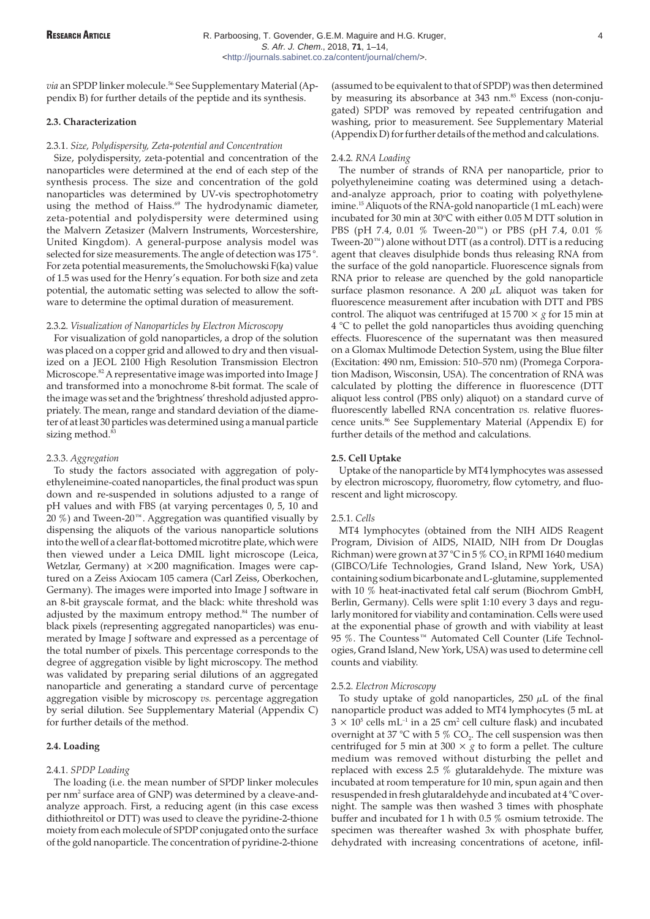via an SPDP linker molecule.<sup>56</sup> See Supplementary Material (Appendix B) for further details of the peptide and its synthesis.

## **2.3. Characterization**

#### 2.3.1. *Size, Polydispersity, Zeta-potential and Concentration*

Size, polydispersity, zeta-potential and concentration of the nanoparticles were determined at the end of each step of the synthesis process. The size and concentration of the gold nanoparticles was determined by UV-vis spectrophotometry using the method of Haiss.<sup>69</sup> The hydrodynamic diameter, zeta-potential and polydispersity were determined using the Malvern Zetasizer (Malvern Instruments, Worcestershire, United Kingdom). A general-purpose analysis model was selected for size measurements. The angle of detection was 175 °. For zeta potential measurements, the Smoluchowski F(ka) value of 1.5 was used for the Henry's equation. For both size and zeta potential, the automatic setting was selected to allow the software to determine the optimal duration of measurement.

## 2.3.2. *Visualization of Nanoparticles by Electron Microscopy*

For visualization of gold nanoparticles, a drop of the solution was placed on a copper grid and allowed to dry and then visualized on a JEOL 2100 High Resolution Transmission Electron Microscope.<sup>82</sup> A representative image was imported into Image J and transformed into a monochrome 8-bit format. The scale of the image was set and the 'brightness' threshold adjusted appropriately. The mean, range and standard deviation of the diameter of at least 30 particles was determined using a manual particle sizing method.<sup>83</sup>

## 2.3.3. *Aggregation*

To study the factors associated with aggregation of polyethyleneimine-coated nanoparticles, the final product was spun down and re-suspended in solutions adjusted to a range of pH values and with FBS (at varying percentages 0, 5, 10 and 20 %) and Tween-20™. Aggregation was quantified visually by dispensing the aliquots of the various nanoparticle solutions into the well of a clear flat-bottomed microtitre plate, which were then viewed under a Leica DMIL light microscope (Leica, Wetzlar, Germany) at ×200 magnification. Images were captured on a Zeiss Axiocam 105 camera (Carl Zeiss, Oberkochen, Germany). The images were imported into Image J software in an 8-bit grayscale format, and the black: white threshold was adjusted by the maximum entropy method.<sup>84</sup> The number of black pixels (representing aggregated nanoparticles) was enumerated by Image J software and expressed as a percentage of the total number of pixels. This percentage corresponds to the degree of aggregation visible by light microscopy. The method was validated by preparing serial dilutions of an aggregated nanoparticle and generating a standard curve of percentage aggregation visible by microscopy *vs.* percentage aggregation by serial dilution. See Supplementary Material (Appendix C) for further details of the method.

## **2.4. Loading**

## 2.4.1. *SPDP Loading*

The loading (i.e. the mean number of SPDP linker molecules per nm<sup>2</sup> surface area of GNP) was determined by a cleave-andanalyze approach. First, a reducing agent (in this case excess dithiothreitol or DTT) was used to cleave the pyridine-2-thione moiety from each molecule of SPDP conjugated onto the surface of the gold nanoparticle. The concentration of pyridine-2-thione

(assumed to be equivalent to that of SPDP) was then determined by measuring its absorbance at 343 nm.<sup>85</sup> Excess (non-conjugated) SPDP was removed by repeated centrifugation and washing, prior to measurement. See Supplementary Material (Appendix D) for further details of the method and calculations.

#### 2.4.2. *RNA Loading*

The number of strands of RNA per nanoparticle, prior to polyethyleneimine coating was determined using a detachand-analyze approach, prior to coating with polyethyleneimine.<sup>15</sup> Aliquots of the RNA-gold nanoparticle (1 mL each) were incubated for 30 min at 30°C with either 0.05 M DTT solution in PBS (pH 7.4, 0.01 % Tween-20™) or PBS (pH 7.4, 0.01 % Tween- $20^{\mathrm{TM}}$ ) alone without DTT (as a control). DTT is a reducing agent that cleaves disulphide bonds thus releasing RNA from the surface of the gold nanoparticle. Fluorescence signals from RNA prior to release are quenched by the gold nanoparticle surface plasmon resonance. A 200  $\mu$ L aliquot was taken for fluorescence measurement after incubation with DTT and PBS control. The aliquot was centrifuged at 15 700  $\times$  *g* for 15 min at 4 °C to pellet the gold nanoparticles thus avoiding quenching effects. Fluorescence of the supernatant was then measured on a Glomax Multimode Detection System, using the Blue filter (Excitation: 490 nm, Emission: 510–570 nm) (Promega Corporation Madison, Wisconsin, USA). The concentration of RNA was calculated by plotting the difference in fluorescence (DTT aliquot less control (PBS only) aliquot) on a standard curve of fluorescently labelled RNA concentration *vs.* relative fluorescence units.<sup>86</sup> See Supplementary Material (Appendix E) for further details of the method and calculations.

## **2.5. Cell Uptake**

Uptake of the nanoparticle by MT4 lymphocytes was assessed by electron microscopy, fluorometry, flow cytometry, and fluorescent and light microscopy.

## 2.5.1. *Cells*

MT4 lymphocytes (obtained from the NIH AIDS Reagent Program, Division of AIDS, NIAID, NIH from Dr Douglas Richman) were grown at  $37^{\circ}$ C in 5 % CO<sub>2</sub> in RPMI 1640 medium (GIBCO/Life Technologies, Grand Island, New York, USA) containing sodium bicarbonate and L-glutamine, supplemented with 10 % heat-inactivated fetal calf serum (Biochrom GmbH, Berlin, Germany). Cells were split 1:10 every 3 days and regularly monitored for viability and contamination. Cells were used at the exponential phase of growth and with viability at least 95 %. The Countess™ Automated Cell Counter (Life Technologies, Grand Island, New York, USA) was used to determine cell counts and viability.

#### 2.5.2. *Electron Microscopy*

To study uptake of gold nanoparticles,  $250 \mu L$  of the final nanoparticle product was added to MT4 lymphocytes (5 mL at  $3 \times 10^5$  cells mL<sup>-1</sup> in a 25 cm<sup>2</sup> cell culture flask) and incubated overnight at 37 °C with 5 %  $CO<sub>2</sub>$ . The cell suspension was then centrifuged for 5 min at 300  $\times$  *g* to form a pellet. The culture medium was removed without disturbing the pellet and replaced with excess 2.5 % glutaraldehyde. The mixture was incubated at room temperature for 10 min, spun again and then resuspended in fresh glutaraldehyde and incubated at 4 °C overnight. The sample was then washed 3 times with phosphate buffer and incubated for 1 h with 0.5 % osmium tetroxide. The specimen was thereafter washed 3x with phosphate buffer, dehydrated with increasing concentrations of acetone, infil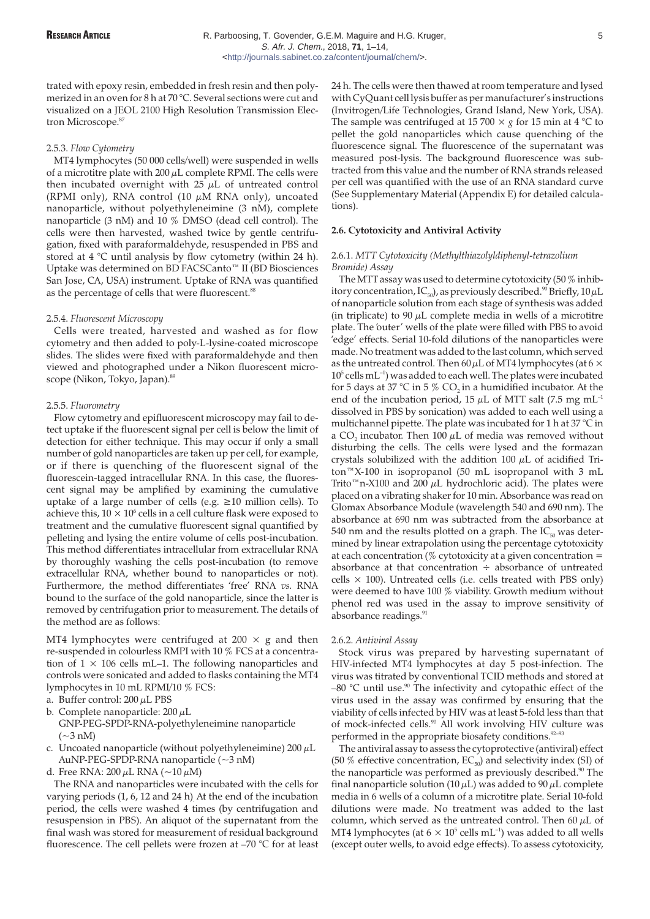trated with epoxy resin, embedded in fresh resin and then polymerized in an oven for 8 h at 70 °C. Several sections were cut and visualized on a JEOL 2100 High Resolution Transmission Electron Microscope.<sup>87</sup>

## 2.5.3. *Flow Cytometry*

MT4 lymphocytes (50 000 cells/well) were suspended in wells of a microtitre plate with  $200 \mu$ L complete RPMI. The cells were then incubated overnight with  $25 \mu L$  of untreated control (RPMI only), RNA control (10  $\mu$ M RNA only), uncoated nanoparticle, without polyethyleneimine (3 nM), complete nanoparticle (3 nM) and 10 % DMSO (dead cell control). The cells were then harvested, washed twice by gentle centrifugation, fixed with paraformaldehyde, resuspended in PBS and stored at 4 °C until analysis by flow cytometry (within 24 h). Uptake was determined on BD FACSCanto™ II (BD Biosciences San Jose, CA, USA) instrument. Uptake of RNA was quantified as the percentage of cells that were fluorescent.<sup>88</sup>

#### 2.5.4. *Fluorescent Microscopy*

Cells were treated, harvested and washed as for flow cytometry and then added to poly-L-lysine-coated microscope slides. The slides were fixed with paraformaldehyde and then viewed and photographed under a Nikon fluorescent microscope (Nikon, Tokyo, Japan).<sup>89</sup>

## 2.5.5. *Fluorometry*

Flow cytometry and epifluorescent microscopy may fail to detect uptake if the fluorescent signal per cell is below the limit of detection for either technique. This may occur if only a small number of gold nanoparticles are taken up per cell, for example, or if there is quenching of the fluorescent signal of the fluorescein-tagged intracellular RNA. In this case, the fluorescent signal may be amplified by examining the cumulative uptake of a large number of cells (e.g.  $\geq 10$  million cells). To achieve this,  $10 \times 10^6$  cells in a cell culture flask were exposed to treatment and the cumulative fluorescent signal quantified by pelleting and lysing the entire volume of cells post-incubation. This method differentiates intracellular from extracellular RNA by thoroughly washing the cells post-incubation (to remove extracellular RNA, whether bound to nanoparticles or not). Furthermore, the method differentiates 'free' RNA *vs.* RNA bound to the surface of the gold nanoparticle, since the latter is removed by centrifugation prior to measurement. The details of the method are as follows:

MT4 lymphocytes were centrifuged at  $200 \times g$  and then re-suspended in colourless RMPI with 10 % FCS at a concentration of  $1 \times 106$  cells mL–1. The following nanoparticles and controls were sonicated and added to flasks containing the MT4 lymphocytes in 10 mL RPMI/10 % FCS:

- a. Buffer control:  $200 \mu L$  PBS
- b. Complete nanoparticle:  $200 \mu L$
- GNP-PEG-SPDP-RNA-polyethyleneimine nanoparticle  $\sim$ 3 nM)
- c. Uncoated nanoparticle (without polyethyleneimine)  $200 \mu L$ AuNP-PEG-SPDP-RNA nanoparticle (~3 nM)

d. Free RNA:  $200 \mu L$  RNA ( $\sim$ 10  $\mu$ M)

The RNA and nanoparticles were incubated with the cells for varying periods  $(1, 6, 12, 12)$  and  $(24)$  h). At the end of the incubation period, the cells were washed 4 times (by centrifugation and resuspension in PBS). An aliquot of the supernatant from the final wash was stored for measurement of residual background fluorescence. The cell pellets were frozen at –70 °C for at least 24 h. The cells were then thawed at room temperature and lysed with CyQuant cell lysis buffer as per manufacturer's instructions (Invitrogen/Life Technologies, Grand Island, New York, USA). The sample was centrifuged at 15 700  $\times$  *g* for 15 min at 4 °C to pellet the gold nanoparticles which cause quenching of the fluorescence signal. The fluorescence of the supernatant was measured post-lysis. The background fluorescence was subtracted from this value and the number of RNA strands released per cell was quantified with the use of an RNA standard curve (See Supplementary Material (Appendix E) for detailed calculations).

## **2.6. Cytotoxicity and Antiviral Activity**

## 2.6.1. *MTT Cytotoxicity (Methylthiazolyldiphenyl-tetrazolium Bromide) Assay*

The MTT assay was used to determine cytotoxicity (50 % inhibitory concentration, IC<sub>50</sub>), as previously described.<sup>90</sup> Briefly,  $10 \mu L$ of nanoparticle solution from each stage of synthesis was added (in triplicate) to 90  $\mu$ L complete media in wells of a microtitre plate. The 'outer' wells of the plate were filled with PBS to avoid 'edge' effects. Serial 10-fold dilutions of the nanoparticles were made. No treatment was added to the last column, which served as the untreated control. Then  $60 \mu L$  of MT4 lymphocytes (at 6  $\times$  $10^5$  cells mL<sup>-1</sup>) was added to each well. The plates were incubated for 5 days at 37 °C in 5 %  $CO<sub>2</sub>$  in a humidified incubator. At the end of the incubation period, 15  $\mu$ L of MTT salt (7.5 mg mL<sup>-1</sup> dissolved in PBS by sonication) was added to each well using a multichannel pipette. The plate was incubated for 1 h at 37 °C in a CO<sub>2</sub> incubator. Then 100  $\mu$ L of media was removed without disturbing the cells. The cells were lysed and the formazan crystals solubilized with the addition 100  $\mu$ L of acidified Triton™X-100 in isopropanol (50 mL isopropanol with 3 mL Trito™n-X100 and 200  $\mu$ L hydrochloric acid). The plates were placed on a vibrating shaker for 10 min. Absorbance was read on Glomax Absorbance Module (wavelength 540 and 690 nm). The absorbance at 690 nm was subtracted from the absorbance at 540 nm and the results plotted on a graph. The  $IC_{50}$  was determined by linear extrapolation using the percentage cytotoxicity at each concentration ( $%$  cytotoxicity at a given concentration = absorbance at that concentration  $\div$  absorbance of untreated cells  $\times$  100). Untreated cells (i.e. cells treated with PBS only) were deemed to have 100 % viability. Growth medium without phenol red was used in the assay to improve sensitivity of absorbance readings.<sup>91</sup>

## 2.6.2. *Antiviral Assay*

Stock virus was prepared by harvesting supernatant of HIV-infected MT4 lymphocytes at day 5 post-infection. The virus was titrated by conventional TCID methods and stored at  $-80$  °C until use.<sup>90</sup> The infectivity and cytopathic effect of the virus used in the assay was confirmed by ensuring that the viability of cells infected by HIV was at least 5-fold less than that of mock-infected cells.<sup>90</sup> All work involving HIV culture was performed in the appropriate biosafety conditions.<sup>92–93</sup>

The antiviral assay to assess the cytoprotective (antiviral) effect (50 % effective concentration,  $EC_{50}$ ) and selectivity index (SI) of the nanoparticle was performed as previously described.<sup>90</sup> The final nanoparticle solution (10  $\mu$ L) was added to 90  $\mu$ L complete media in 6 wells of a column of a microtitre plate. Serial 10-fold dilutions were made. No treatment was added to the last column, which served as the untreated control. Then 60  $\mu$ L of MT4 lymphocytes (at  $6 \times 10^5$  cells mL<sup>-1</sup>) was added to all wells (except outer wells, to avoid edge effects). To assess cytotoxicity,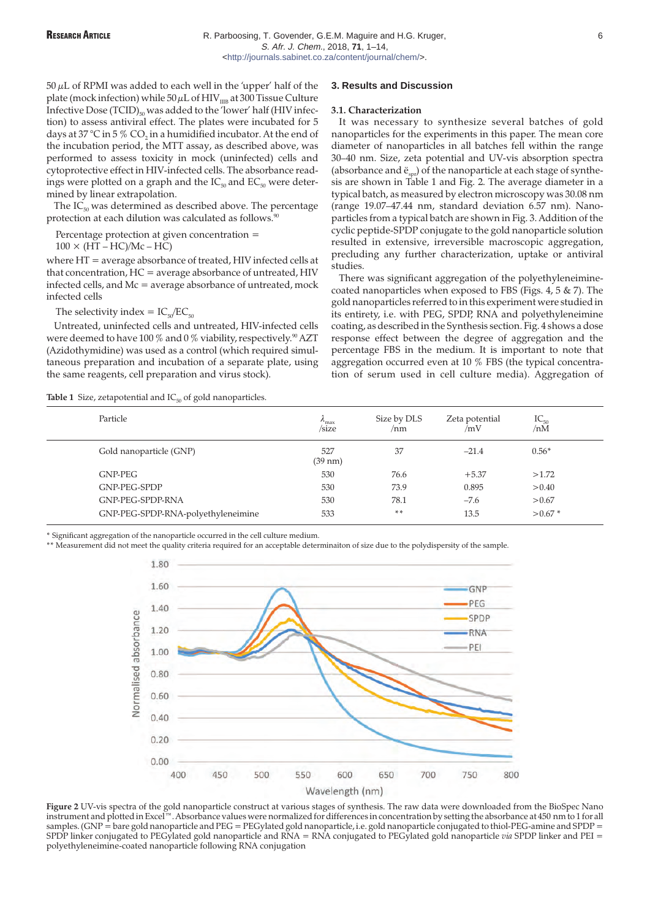$50 \mu L$  of RPMI was added to each well in the 'upper' half of the plate (mock infection) while  $50 \mu L$  of HIV $_{\text{IIB}}$  at 300 Tissue Culture Infective Dose  $(TCID)_{50}$  was added to the 'lower' half (HIV infection) to assess antiviral effect. The plates were incubated for 5 days at 37 °C in 5 % CO<sub>2</sub> in a humidified incubator. At the end of the incubation period, the MTT assay, as described above, was performed to assess toxicity in mock (uninfected) cells and cytoprotective effect in HIV-infected cells. The absorbance readings were plotted on a graph and the  $IC_{50}$  and  $EC_{50}$  were determined by linear extrapolation.

The  $IC_{50}$  was determined as described above. The percentage protection at each dilution was calculated as follows.<sup>9</sup>

Percentage protection at given concentration =

 $100 \times (HT - HC)/Mc - HC$ 

where HT = average absorbance of treated, HIV infected cells at that concentration,  $HC =$  average absorbance of untreated,  $HIV$ infected cells, and Mc = average absorbance of untreated, mock infected cells

The selectivity index =  $IC_{50}/EC_{50}$ 

Untreated, uninfected cells and untreated, HIV-infected cells were deemed to have 100 % and 0 % viability, respectively.<sup>90</sup> AZT (Azidothymidine) was used as a control (which required simultaneous preparation and incubation of a separate plate, using the same reagents, cell preparation and virus stock).

**Table 1** Size, zetapotential and  $IC_{50}$  of gold nanoparticles.

**3. Results and Discussion**

#### **3.1. Characterization**

It was necessary to synthesize several batches of gold nanoparticles for the experiments in this paper. The mean core diameter of nanoparticles in all batches fell within the range 30–40 nm. Size, zeta potential and UV-vis absorption spectra (absorbance and  $\ddot{e}_{spr}$ ) of the nanoparticle at each stage of synthesis are shown in Table 1 and Fig. 2. The average diameter in a typical batch, as measured by electron microscopy was 30.08 nm (range 19.07–47.44 nm, standard deviation 6.57 nm). Nanoparticles from a typical batch are shown in Fig. 3. Addition of the cyclic peptide-SPDP conjugate to the gold nanoparticle solution resulted in extensive, irreversible macroscopic aggregation, precluding any further characterization, uptake or antiviral studies.

There was significant aggregation of the polyethyleneiminecoated nanoparticles when exposed to FBS (Figs. 4, 5 & 7). The gold nanoparticles referred to in this experiment were studied in its entirety, i.e. with PEG, SPDP, RNA and polyethyleneimine coating, as described in the Synthesis section. Fig. 4 shows a dose response effect between the degree of aggregation and the percentage FBS in the medium. It is important to note that aggregation occurred even at 10 % FBS (the typical concentration of serum used in cell culture media). Aggregation of

| Particle                           | $\frac{\lambda_{\text{max}}}{\text{size}}$ | Size by DLS<br>/nm | Zeta potential<br>/mV | $IC_{50}$<br>/nM |
|------------------------------------|--------------------------------------------|--------------------|-----------------------|------------------|
| Gold nanoparticle (GNP)            | 527<br>$(39 \text{ nm})$                   | 37                 | $-21.4$               | $0.56*$          |
| GNP-PEG                            | 530                                        | 76.6               | $+5.37$               | >1.72            |
| GNP-PEG-SPDP                       | 530                                        | 73.9               | 0.895                 | > 0.40           |
| GNP-PEG-SPDP-RNA                   | 530                                        | 78.1               | $-7.6$                | > 0.67           |
| GNP-PEG-SPDP-RNA-polyethyleneimine | 533                                        | $* *$              | 13.5                  | $> 0.67$ *       |

\* Significant aggregation of the nanoparticle occurred in the cell culture medium.

\*\* Measurement did not meet the quality criteria required for an acceptable determinaiton of size due to the polydispersity of the sample.



**Figure 2** UV-vis spectra of the gold nanoparticle construct at various stages of synthesis. The raw data were downloaded from the BioSpec Nano instrument and plotted in Excel™. Absorbance values were normalized for differences in concentration by setting the absorbance at 450 nm to 1 for all samples. (GNP = bare gold nanoparticle and PEG = PEGylated gold nanoparticle, i.e. gold nanoparticle conjugated to thiol-PEG-amine and SPDP = SPDP linker conjugated to PEGylated gold nanoparticle and RNA = RNA conjugated to PEGylated gold nanoparticle *via* SPDP linker and PEI = polyethyleneimine-coated nanoparticle following RNA conjugation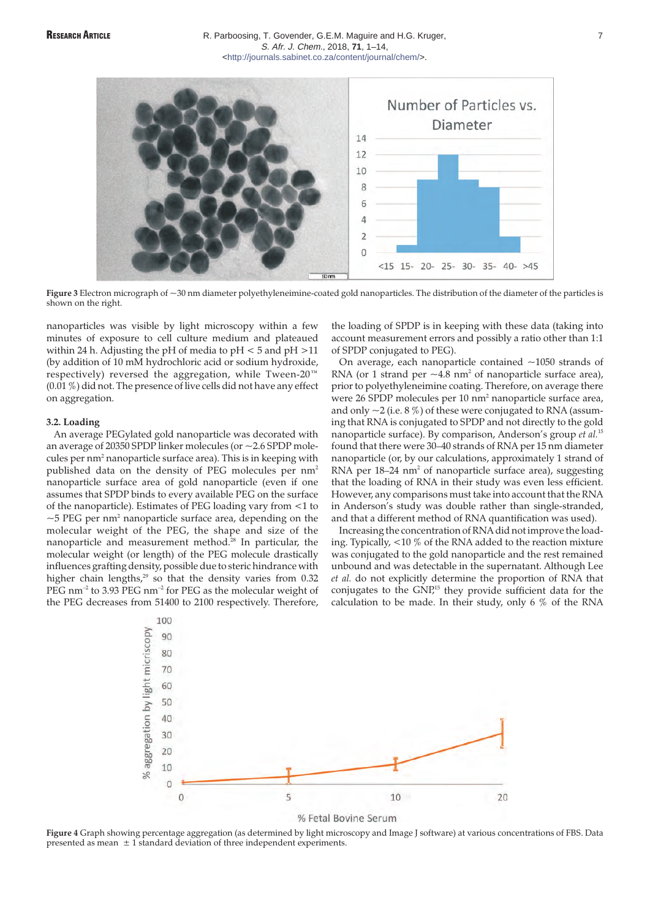

Figure 3 Electron micrograph of ~30 nm diameter polyethyleneimine-coated gold nanoparticles. The distribution of the diameter of the particles is shown on the right.

nanoparticles was visible by light microscopy within a few minutes of exposure to cell culture medium and plateaued within 24 h. Adjusting the pH of media to pH < 5 and pH >11 (by addition of 10 mM hydrochloric acid or sodium hydroxide, respectively) reversed the aggregation, while Tween-20™ (0.01 %) did not. The presence of live cells did not have any effect on aggregation.

## **3.2. Loading**

An average PEGylated gold nanoparticle was decorated with an average of 20350 SPDP linker molecules (or ~2.6 SPDP molecules per nm<sup>2</sup> nanoparticle surface area). This is in keeping with published data on the density of PEG molecules per nm<sup>2</sup> nanoparticle surface area of gold nanoparticle (even if one assumes that SPDP binds to every available PEG on the surface of the nanoparticle). Estimates of PEG loading vary from <1 to  $\sim$  5 PEG per nm<sup>2</sup> nanoparticle surface area, depending on the molecular weight of the PEG, the shape and size of the nanoparticle and measurement method.<sup>28</sup> In particular, the molecular weight (or length) of the PEG molecule drastically influences grafting density, possible due to steric hindrance with higher chain lengths, $29$  so that the density varies from 0.32 PEG nm<sup>-2</sup> to 3.93 PEG nm<sup>-2</sup> for PEG as the molecular weight of the PEG decreases from 51400 to 2100 respectively. Therefore, the loading of SPDP is in keeping with these data (taking into account measurement errors and possibly a ratio other than 1:1 of SPDP conjugated to PEG).

On average, each nanoparticle contained  $\sim$ 1050 strands of RNA (or 1 strand per  $\sim$  4.8 nm<sup>2</sup> of nanoparticle surface area), prior to polyethyleneimine coating. Therefore, on average there were 26 SPDP molecules per 10 nm2 nanoparticle surface area, and only  $\sim$  2 (i.e. 8 %) of these were conjugated to RNA (assuming that RNA is conjugated to SPDP and not directly to the gold nanoparticle surface). By comparison, Anderson's group *et al.*<sup>15</sup> found that there were 30–40 strands of RNA per 15 nm diameter nanoparticle (or, by our calculations, approximately 1 strand of RNA per 18-24 nm<sup>2</sup> of nanoparticle surface area), suggesting that the loading of RNA in their study was even less efficient. However, any comparisons must take into account that the RNA in Anderson's study was double rather than single-stranded, and that a different method of RNA quantification was used).

Increasing the concentration of RNA did not improve the loading. Typically, <10 % of the RNA added to the reaction mixture was conjugated to the gold nanoparticle and the rest remained unbound and was detectable in the supernatant. Although Lee *et al.* do not explicitly determine the proportion of RNA that conjugates to the GNP,<sup>15</sup> they provide sufficient data for the calculation to be made. In their study, only 6 % of the RNA



**Figure 4** Graph showing percentage aggregation (as determined by light microscopy and Image J software) at various concentrations of FBS. Data presented as mean  $\pm 1$  standard deviation of three independent experiments.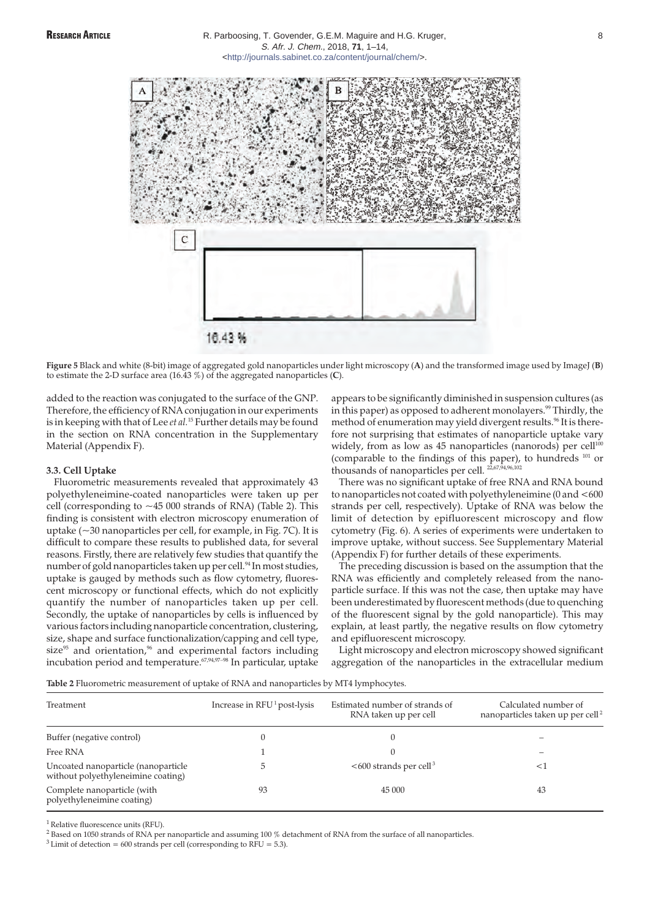

**Figure 5** Black and white (8-bit) image of aggregated gold nanoparticles under light microscopy (**A**) and the transformed image used by ImageJ (**B**) to estimate the 2-D surface area (16.43 %) of the aggregated nanoparticles (**C**).

added to the reaction was conjugated to the surface of the GNP. Therefore, the efficiency of RNA conjugation in our experiments is in keeping with that of Lee *et al.*<sup>15</sup> Further details may be found in the section on RNA concentration in the Supplementary Material (Appendix F).

# **3.3. Cell Uptake**

Fluorometric measurements revealed that approximately 43 polyethyleneimine-coated nanoparticles were taken up per cell (corresponding to ~45 000 strands of RNA) (Table 2). This finding is consistent with electron microscopy enumeration of uptake (~30 nanoparticles per cell, for example, in Fig. 7C). It is difficult to compare these results to published data, for several reasons. Firstly, there are relatively few studies that quantify the number of gold nanoparticles taken up per cell.<sup>94</sup> In most studies, uptake is gauged by methods such as flow cytometry, fluorescent microscopy or functional effects, which do not explicitly quantify the number of nanoparticles taken up per cell. Secondly, the uptake of nanoparticles by cells is influenced by various factors including nanoparticle concentration, clustering, size, shape and surface functionalization/capping and cell type, size $95$  and orientation, $96$  and experimental factors including incubation period and temperature.67,94,97–98 In particular, uptake appears to be significantly diminished in suspension cultures (as in this paper) as opposed to adherent monolayers.<sup>99</sup> Thirdly, the method of enumeration may yield divergent results.<sup>96</sup> It is therefore not surprising that estimates of nanoparticle uptake vary widely, from as low as 45 nanoparticles  $(\overline{n}anorods)$  per cell<sup>100</sup> (comparable to the findings of this paper), to hundreds <sup>101</sup> or thousands of nanoparticles per cell.  $2,67,94,96,102$ 

There was no significant uptake of free RNA and RNA bound to nanoparticles not coated with polyethyleneimine (0 and <600 strands per cell, respectively). Uptake of RNA was below the limit of detection by epifluorescent microscopy and flow cytometry (Fig. 6). A series of experiments were undertaken to improve uptake, without success. See Supplementary Material (Appendix F) for further details of these experiments.

The preceding discussion is based on the assumption that the RNA was efficiently and completely released from the nanoparticle surface. If this was not the case, then uptake may have been underestimated by fluorescent methods (due to quenching of the fluorescent signal by the gold nanoparticle). This may explain, at least partly, the negative results on flow cytometry and epifluorescent microscopy.

Light microscopy and electron microscopy showed significant aggregation of the nanoparticles in the extracellular medium

**Table 2** Fluorometric measurement of uptake of RNA and nanoparticles by MT4 lymphocytes.

| Treatment                                                                 | Increase in $RFU1$ post-lysis | Estimated number of strands of<br>RNA taken up per cell | Calculated number of<br>nanoparticles taken up per cell <sup>2</sup> |
|---------------------------------------------------------------------------|-------------------------------|---------------------------------------------------------|----------------------------------------------------------------------|
| Buffer (negative control)                                                 |                               |                                                         |                                                                      |
| Free RNA                                                                  |                               |                                                         |                                                                      |
| Uncoated nanoparticle (nanoparticle<br>without polyethyleneimine coating) |                               | $<600$ strands per cell <sup>3</sup>                    | $\leq$                                                               |
| Complete nanoparticle (with<br>polyethyleneimine coating)                 | 93                            | 45 000                                                  | 43                                                                   |

<sup>1</sup> Relative fluorescence units (RFU).

<sup>2</sup> Based on 1050 strands of RNA per nanoparticle and assuming 100 % detachment of RNA from the surface of all nanoparticles.

 $3$  Limit of detection = 600 strands per cell (corresponding to RFU = 5.3).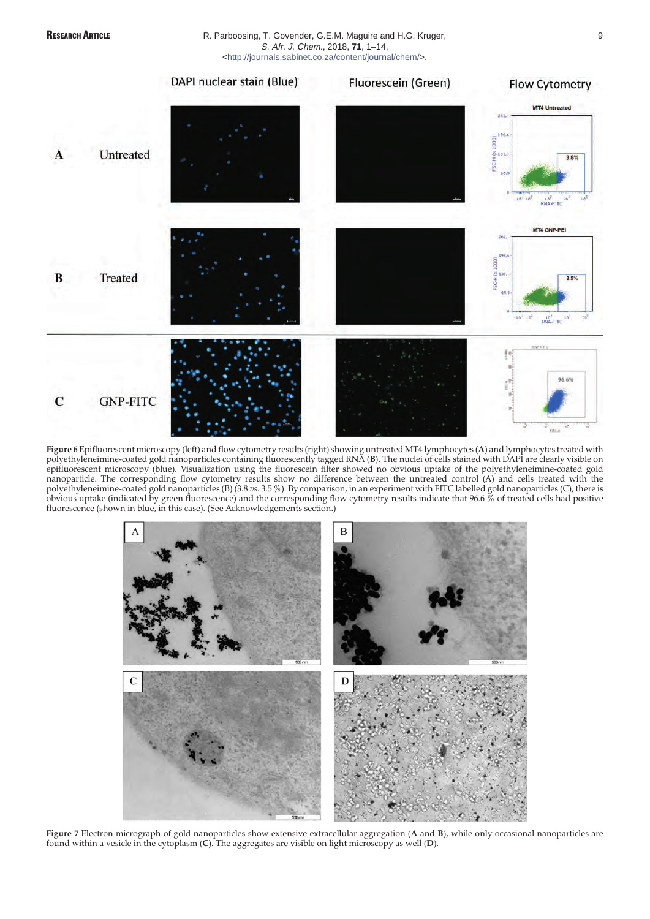

## RESEARCH ARTICLE **RESEARCH ARTICLE** R. Parboosing, T. Govender, G.E.M. Maguire and H.G. Kruger, S. Afr. J. Chem., 2018, **71**, 1–14, [<http://journals.sabinet.co.za/content/journal/chem/>](http://journals.sabinet.co.za/content/journal/chem/).



**Figure 6** Epifluorescent microscopy (left) and flow cytometry results (right) showing untreated MT4 lymphocytes (**A**) and lymphocytes treated with polyethyleneimine-coated gold nanoparticles containing fluorescently tagged RNA (**B**). The nuclei of cells stained with DAPI are clearly visible on epifluorescent microscopy (blue). Visualization using the fluorescein filter showed no obvious uptake of the polyethyleneimine-coated gold nanoparticle. The corresponding flow cytometry results show no difference between the untreated control (A) and cells treated with the polyethyleneimine-coated gold nanoparticles (B) (3.8 *vs.* 3.5 %). By comparison, in an experiment with FITC labelled gold nanoparticles (C), there is obvious uptake (indicated by green fluorescence) and the corresponding flow cytometry results indicate that 96.6 % of treated cells had positive fluorescence (shown in blue, in this case). (See Acknowledgements section.)



**Figure 7** Electron micrograph of gold nanoparticles show extensive extracellular aggregation (**A** and **B**), while only occasional nanoparticles are found within a vesicle in the cytoplasm (**C**). The aggregates are visible on light microscopy as well (**D**).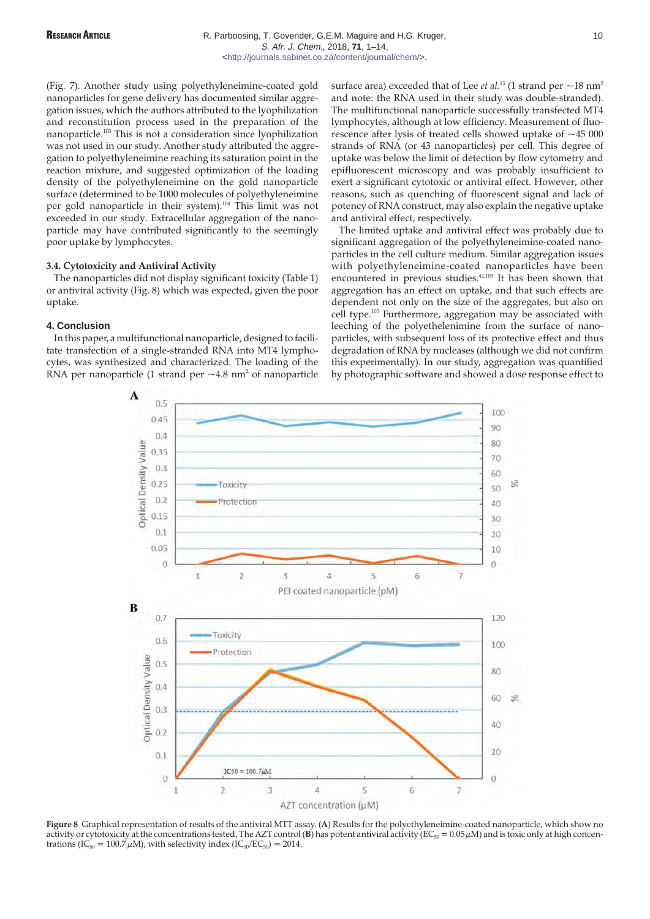(Fig. 7). Another study using polyethyleneimine-coated gold nanoparticles for gene delivery has documented similar aggregation issues, which the authors attributed to the lyophilization and reconstitution process used in the preparation of the nanoparticle.103 This is not a consideration since lyophilization was not used in our study. Another study attributed the aggregation to polyethyleneimine reaching its saturation point in the reaction mixture, and suggested optimization of the loading density of the polyethyleneimine on the gold nanoparticle surface (determined to be 1000 molecules of polyethyleneimine per gold nanoparticle in their system).<sup>104</sup> This limit was not exceeded in our study. Extracellular aggregation of the nanoparticle may have contributed significantly to the seemingly poor uptake by lymphocytes.

## **3.4. Cytotoxicity and Antiviral Activity**

The nanoparticles did not display significant toxicity (Table 1) or antiviral activity (Fig. 8) which was expected, given the poor uptake.

## **4. Conclusion**

In this paper, a multifunctional nanoparticle, designed to facilitate transfection of a single-stranded RNA into MT4 lymphocytes, was synthesized and characterized. The loading of the RNA per nanoparticle (1 strand per  $\sim$  4.8 nm<sup>2</sup> of nanoparticle surface area) exceeded that of Lee *et al.*<sup>15</sup> (1 strand per  $\sim$  18 nm<sup>2</sup> and note: the RNA used in their study was double-stranded). The multifunctional nanoparticle successfully transfected MT4 lymphocytes, although at low efficiency. Measurement of fluorescence after lysis of treated cells showed uptake of  $~15000$ strands of RNA (or 43 nanoparticles) per cell. This degree of uptake was below the limit of detection by flow cytometry and epifluorescent microscopy and was probably insufficient to exert a significant cytotoxic or antiviral effect. However, other reasons, such as quenching of fluorescent signal and lack of potency of RNA construct, may also explain the negative uptake and antiviral effect, respectively.

The limited uptake and antiviral effect was probably due to significant aggregation of the polyethyleneimine-coated nanoparticles in the cell culture medium. Similar aggregation issues with polyethyleneimine-coated nanoparticles have been encountered in previous studies.<sup>42,103</sup> It has been shown that aggregation has an effect on uptake, and that such effects are dependent not only on the size of the aggregates, but also on cell type.<sup>105</sup> Furthermore, aggregation may be associated with leeching of the polyethelenimine from the surface of nanoparticles, with subsequent loss of its protective effect and thus degradation of RNA by nucleases (although we did not confirm this experimentally). In our study, aggregation was quantified by photographic software and showed a dose response effect to



**Figure 8** Graphical representation of results of the antiviral MTT assay. (**A**) Results for the polyethyleneimine-coated nanoparticle, which show no activity or cytotoxicity at the concentrations tested. The AZT control (**B**) has potent antiviral activity ( $EC_{50} = 0.05 \mu M$ ) and is toxic only at high concentrations (IC<sub>50</sub> = 100.7  $\mu$ M), with selectivity index (IC<sub>50</sub>/EC<sub>50</sub>) = 2014.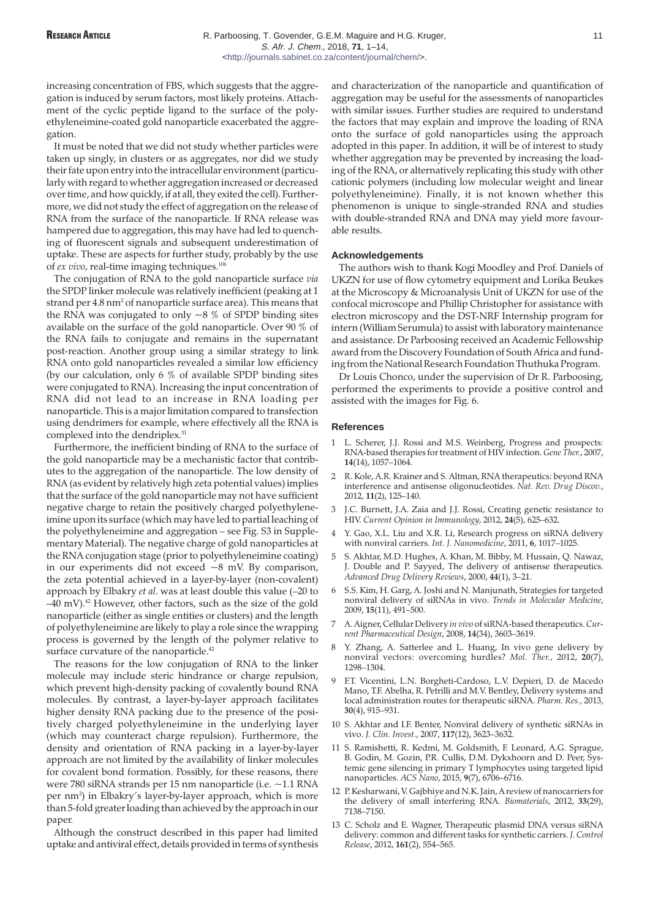increasing concentration of FBS, which suggests that the aggregation is induced by serum factors, most likely proteins. Attachment of the cyclic peptide ligand to the surface of the polyethyleneimine-coated gold nanoparticle exacerbated the aggregation.

It must be noted that we did not study whether particles were taken up singly, in clusters or as aggregates, nor did we study their fate upon entry into the intracellular environment (particularly with regard to whether aggregation increased or decreased over time, and how quickly, if at all, they exited the cell). Furthermore, we did not study the effect of aggregation on the release of RNA from the surface of the nanoparticle. If RNA release was hampered due to aggregation, this may have had led to quenching of fluorescent signals and subsequent underestimation of uptake. These are aspects for further study, probably by the use of *ex vivo*, real-time imaging techniques.<sup>106</sup>

The conjugation of RNA to the gold nanoparticle surface *via* the SPDP linker molecule was relatively inefficient (peaking at 1 strand per 4.8 nm<sup>2</sup> of nanoparticle surface area). This means that the RNA was conjugated to only  $\sim$ 8 % of SPDP binding sites available on the surface of the gold nanoparticle. Over 90 % of the RNA fails to conjugate and remains in the supernatant post-reaction. Another group using a similar strategy to link RNA onto gold nanoparticles revealed a similar low efficiency (by our calculation, only 6 % of available SPDP binding sites were conjugated to RNA). Increasing the input concentration of RNA did not lead to an increase in RNA loading per nanoparticle. This is a major limitation compared to transfection using dendrimers for example, where effectively all the RNA is complexed into the dendriplex.<sup>31</sup>

Furthermore, the inefficient binding of RNA to the surface of the gold nanoparticle may be a mechanistic factor that contributes to the aggregation of the nanoparticle. The low density of RNA (as evident by relatively high zeta potential values) implies that the surface of the gold nanoparticle may not have sufficient negative charge to retain the positively charged polyethyleneimine upon its surface (which may have led to partial leaching of the polyethyleneimine and aggregation – see Fig. S3 in Supplementary Material). The negative charge of gold nanoparticles at the RNA conjugation stage (prior to polyethyleneimine coating) in our experiments did not exceed ~8 mV. By comparison, the zeta potential achieved in a layer-by-layer (non-covalent) approach by Elbakry *et al*. was at least double this value (–20 to  $-40$  mV).<sup>42</sup> However, other factors, such as the size of the gold nanoparticle (either as single entities or clusters) and the length of polyethyleneimine are likely to play a role since the wrapping process is governed by the length of the polymer relative to surface curvature of the nanoparticle.<sup>42</sup>

The reasons for the low conjugation of RNA to the linker molecule may include steric hindrance or charge repulsion, which prevent high-density packing of covalently bound RNA molecules. By contrast, a layer-by-layer approach facilitates higher density RNA packing due to the presence of the positively charged polyethyleneimine in the underlying layer (which may counteract charge repulsion). Furthermore, the density and orientation of RNA packing in a layer-by-layer approach are not limited by the availability of linker molecules for covalent bond formation. Possibly, for these reasons, there were 780 siRNA strands per 15 nm nanoparticle (i.e. ~1.1 RNA per nm<sup>2</sup>) in Elbakry's layer-by-layer approach, which is more than 5-fold greater loading than achieved by the approach in our paper.

Although the construct described in this paper had limited uptake and antiviral effect, details provided in terms of synthesis and characterization of the nanoparticle and quantification of aggregation may be useful for the assessments of nanoparticles with similar issues. Further studies are required to understand the factors that may explain and improve the loading of RNA onto the surface of gold nanoparticles using the approach adopted in this paper. In addition, it will be of interest to study whether aggregation may be prevented by increasing the loading of the RNA, or alternatively replicating this study with other cationic polymers (including low molecular weight and linear polyethyleneimine). Finally, it is not known whether this phenomenon is unique to single-stranded RNA and studies with double-stranded RNA and DNA may yield more favourable results.

## **Acknowledgements**

The authors wish to thank Kogi Moodley and Prof. Daniels of UKZN for use of flow cytometry equipment and Lorika Beukes at the Microscopy & Microanalysis Unit of UKZN for use of the confocal microscope and Phillip Christopher for assistance with electron microscopy and the DST-NRF Internship program for intern (William Serumula) to assist with laboratory maintenance and assistance. Dr Parboosing received an Academic Fellowship award from the Discovery Foundation of South Africa and funding from the National Research Foundation Thuthuka Program.

Dr Louis Chonco, under the supervision of Dr R. Parboosing, performed the experiments to provide a positive control and assisted with the images for Fig. 6.

#### **References**

- L. Scherer, J.J. Rossi and M.S. Weinberg, Progress and prospects: RNA-based therapies for treatment of HIV infection. *Gene Ther.*, 2007, **14**(14), 1057–1064.
- 2 R. Kole, A.R. Krainer and S. Altman, RNA therapeutics: beyond RNA interference and antisense oligonucleotides. *Nat. Rev. Drug Discov.*, 2012, **11**(2), 125–140.
- 3 J.C. Burnett, J.A. Zaia and J.J. Rossi, Creating genetic resistance to HIV. *Current Opinion in Immunology*, 2012, **24**(5), 625–632.
- 4 Y. Gao, X.L. Liu and X.R. Li, Research progress on siRNA delivery with nonviral carriers. *Int. J. Nanomedicine*, 2011, **6**, 1017–1025.
- 5 S. Akhtar, M.D. Hughes, A. Khan, M. Bibby, M. Hussain, Q. Nawaz, J. Double and P. Sayyed, The delivery of antisense therapeutics*. Advanced Drug Delivery Reviews*, 2000, **44**(1), 3–21.
- 6 S.S. Kim, H. Garg, A. Joshi and N. Manjunath, Strategies for targeted nonviral delivery of siRNAs in vivo. *Trends in Molecular Medicine*, 2009, **15**(11), 491–500.
- 7 A. Aigner, Cellular Delivery *in vivo* of siRNA-based therapeutics. *Current Pharmaceutical Design*, 2008, **14**(34), 3603–3619.
- 8 Y. Zhang, A. Satterlee and L. Huang, In vivo gene delivery by nonviral vectors: overcoming hurdles? *Mol. Ther.*, 2012, **20**(7), 1298–1304.
- 9 F.T. Vicentini, L.N. Borgheti-Cardoso, L.V. Depieri, D. de Macedo Mano, T.F. Abelha, R. Petrilli and M.V. Bentley, Delivery systems and local administration routes for therapeutic siRNA. *Pharm. Res.*, 2013, **30**(4), 915–931.
- 10 S. Akhtar and I.F. Benter, Nonviral delivery of synthetic siRNAs in vivo. *J. Clin. Invest.*, 2007, **117**(12), 3623–3632.
- 11 S. Ramishetti, R. Kedmi, M. Goldsmith, F. Leonard, A.G. Sprague, B. Godin, M. Gozin, P.R. Cullis, D.M. Dykxhoorn and D. Peer, Systemic gene silencing in primary T lymphocytes using targeted lipid nanoparticles. *ACS Nano*, 2015, **9**(7), 6706–6716.
- 12 P. Kesharwani, V. Gajbhiye and N.K. Jain, A review of nanocarriers for the delivery of small interfering RNA. *Biomaterials*, 2012, **33**(29), 7138–7150.
- 13 C. Scholz and E. Wagner, Therapeutic plasmid DNA versus siRNA delivery: common and different tasks for synthetic carriers. *J. Control Release*, 2012, **161**(2), 554–565.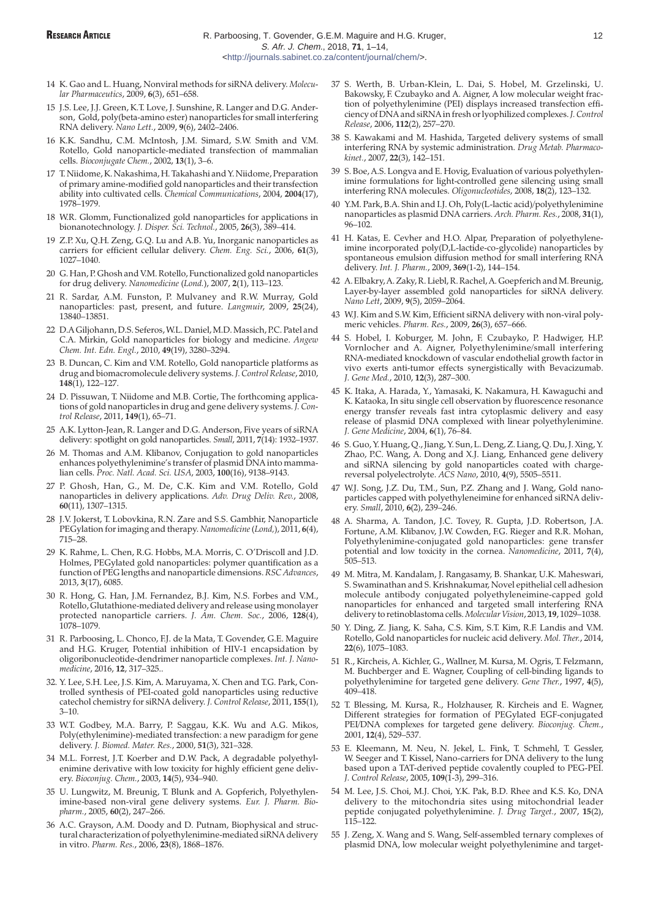- 14 K. Gao and L. Huang, Nonviral methods for siRNA delivery. *Molecular Pharmaceutics*, 2009, **6**(3), 651–658.
- 15 J.S. Lee, J.J. Green, K.T. Love, J. Sunshine, R. Langer and D.G. Anderson, Gold, poly(beta-amino ester) nanoparticles for small interfering RNA delivery. *Nano Lett.*, 2009, **9**(6), 2402–2406.
- 16 K.K. Sandhu, C.M. McIntosh, J.M. Simard, S.W. Smith and V.M. Rotello, Gold nanoparticle-mediated transfection of mammalian cells. *Bioconjugate Chem.*, 2002, **13**(1), 3–6.
- 17 T. Niidome, K. Nakashima, H. Takahashi and Y. Niidome, Preparation of primary amine-modified gold nanoparticles and their transfection ability into cultivated cells. *Chemical Communications*, 2004, **2004**(17), 1978–1979.
- 18 W.R. Glomm, Functionalized gold nanoparticles for applications in bionanotechnology. *J. Disper. Sci. Technol.*, 2005, **26**(3), 389–414.
- 19 Z.P. Xu, Q.H. Zeng, G.Q. Lu and A.B. Yu, Inorganic nanoparticles as carriers for efficient cellular delivery. *Chem. Eng. Sci.*, 2006, **61**(3), 1027–1040.
- 20 G. Han, P. Ghosh and V.M. Rotello, Functionalized gold nanoparticles for drug delivery. *Nanomedicine* (*Lond.*), 2007, **2**(1), 113–123.
- 21 R. Sardar, A.M. Funston, P. Mulvaney and R.W. Murray, Gold nanoparticles: past, present, and future. *Langmuir*, 2009, **25**(24), 13840–13851.
- 22 D.A Giljohann, D.S. Seferos, W.L. Daniel, M.D. Massich, P.C. Patel and C.A. Mirkin, Gold nanoparticles for biology and medicine. *Angew Chem. Int. Edn. Engl.*, 2010, **49**(19), 3280–3294.
- 23 B. Duncan, C. Kim and V.M. Rotello, Gold nanoparticle platforms as drug and biomacromolecule delivery systems.*J. Control Release*, 2010, **148**(1), 122–127.
- 24 D. Pissuwan, T. Niidome and M.B. Cortie, The forthcoming applications of gold nanoparticles in drug and gene delivery systems. *J. Control Release*, 2011, **149**(1), 65–71.
- 25 A.K. Lytton-Jean, R. Langer and D.G. Anderson, Five years of siRNA delivery: spotlight on gold nanoparticles. *Small*, 2011, **7**(14): 1932–1937.
- 26 M. Thomas and A.M. Klibanov, Conjugation to gold nanoparticles enhances polyethylenimine's transfer of plasmid DNA into mammalian cells. *Proc. Natl. Acad. Sci. USA*, 2003, **100**(16), 9138–9143.
- 27 P. Ghosh, Han, G., M. De, C.K. Kim and V.M. Rotello, Gold nanoparticles in delivery applications. *Adv. Drug Deliv. Rev.*, 2008, **60**(11), 1307–1315.
- 28 J.V. Jokerst, T. Lobovkina, R.N. Zare and S.S. Gambhir, Nanoparticle PEGylation for imaging and therapy. *Nanomedicine*(*Lond,*), 2011, **6**(4), 715–28.
- 29 K. Rahme, L. Chen, R.G. Hobbs, M.A. Morris, C. O'Driscoll and J.D. Holmes, PEGylated gold nanoparticles: polymer quantification as a function of PEG lengths and nanoparticle dimensions. *RSC Advances*, 2013, **3**(17), 6085.
- 30 R. Hong, G. Han, J.M. Fernandez, B.J. Kim, N.S. Forbes and V.M., Rotello, Glutathione-mediated delivery and release using monolayer protected nanoparticle carriers. *J. Am. Chem. Soc.*, 2006, **128**(4), 1078–1079.
- 31 R. Parboosing, L. Chonco, F.J. de la Mata, T. Govender, G.E. Maguire and H.G. Kruger, Potential inhibition of HIV-1 encapsidation by oligoribonucleotide-dendrimer nanoparticle complexes. *Int. J. Nanomedicine*, 2016, **12**, 317–325..
- 32. Y. Lee, S.H. Lee, J.S. Kim, A. Maruyama, X. Chen and T.G. Park, Controlled synthesis of PEI-coated gold nanoparticles using reductive catechol chemistry for siRNA delivery. *J. Control Release*, 2011, **155**(1), 3–10.
- 33 W.T. Godbey, M.A. Barry, P. Saggau, K.K. Wu and A.G. Mikos, Poly(ethylenimine)-mediated transfection: a new paradigm for gene delivery. *J. Biomed. Mater. Res.*, 2000, **51**(3), 321–328.
- 34 M.L. Forrest, J.T. Koerber and D.W. Pack, A degradable polyethylenimine derivative with low toxicity for highly efficient gene delivery. *Bioconjug. Chem.*, 2003, **14**(5), 934–940.
- 35 U. Lungwitz, M. Breunig, T. Blunk and A. Gopferich, Polyethylenimine-based non-viral gene delivery systems. *Eur. J. Pharm. Biopharm.*, 2005, **60**(2), 247–266.
- 36 A.C. Grayson, A.M. Doody and D. Putnam, Biophysical and structural characterization of polyethylenimine-mediated siRNA delivery in vitro. *Pharm. Res.*, 2006, **23**(8), 1868–1876.
- 37 S. Werth, B. Urban-Klein, L. Dai, S. Hobel, M. Grzelinski, U. Bakowsky, F. Czubayko and A. Aigner, A low molecular weight fraction of polyethylenimine (PEI) displays increased transfection efficiency of DNA and siRNA in fresh or lyophilized complexes.*J. Control Release*, 2006, **112**(2), 257–270.
- 38 S. Kawakami and M. Hashida, Targeted delivery systems of small interfering RNA by systemic administration. *Drug Metab. Pharmacokinet.*, 2007, **22**(3), 142–151.
- 39 S. Boe, A.S. Longva and E. Hovig, Evaluation of various polyethylenimine formulations for light-controlled gene silencing using small interfering RNA molecules. *Oligonucleotides*, 2008, **18**(2), 123–132.
- 40 Y.M. Park, B.A. Shin and I.J. Oh, Poly(L-lactic acid)/polyethylenimine nanoparticles as plasmid DNA carriers. *Arch. Pharm. Res.*, 2008, **31**(1), 96–102.
- 41 H. Katas, E. Cevher and H.O. Alpar, Preparation of polyethyleneimine incorporated poly(D,L-lactide-co-glycolide) nanoparticles by spontaneous emulsion diffusion method for small interfering RNA delivery. *Int. J. Pharm.*, 2009, **369**(1-2), 144–154.
- 42 A. Elbakry, A. Zaky, R. Liebl, R. Rachel, A. Goepferich and M. Breunig, Layer-by-layer assembled gold nanoparticles for siRNA delivery. *Nano Lett*, 2009, **9**(5), 2059–2064.
- 43 W.J. Kim and S.W. Kim, Efficient siRNA delivery with non-viral polymeric vehicles. *Pharm. Res.*, 2009, **26**(3), 657–666.
- 44 S. Hobel, I. Koburger, M. John, F. Czubayko, P. Hadwiger, H.P. Vornlocher and A. Aigner, Polyethylenimine/small interfering RNA-mediated knockdown of vascular endothelial growth factor in vivo exerts anti-tumor effects synergistically with Bevacizumab. *J. Gene Med.*, 2010, **12**(3), 287–300.
- 45 K. Itaka, A. Harada, Y., Yamasaki, K. Nakamura, H. Kawaguchi and K. Kataoka, In situ single cell observation by fluorescence resonance energy transfer reveals fast intra cytoplasmic delivery and easy release of plasmid DNA complexed with linear polyethylenimine. *J. Gene Medicine*, 2004, **6**(1), 76–84.
- 46 S. Guo, Y. Huang, Q., Jiang, Y. Sun, L. Deng, Z. Liang, Q. Du, J. Xing, Y. Zhao, P.C. Wang, A. Dong and X.J. Liang, Enhanced gene delivery and siRNA silencing by gold nanoparticles coated with chargereversal polyelectrolyte. *ACS Nano*, 2010, **4**(9), 5505–5511.
- 47 W.J. Song, J.Z. Du, T.M., Sun, P.Z. Zhang and J. Wang, Gold nanoparticles capped with polyethyleneimine for enhanced siRNA delivery. *Small*, 2010, **6**(2), 239–246.
- 48 A. Sharma, A. Tandon, J.C. Tovey, R. Gupta, J.D. Robertson, J.A. Fortune, A.M. Klibanov, J.W. Cowden, F.G. Rieger and R.R. Mohan, Polyethylenimine-conjugated gold nanoparticles: gene transfer potential and low toxicity in the cornea. *Nanomedicine*, 2011, **7**(4), 505–513.
- 49 M. Mitra, M. Kandalam, J. Rangasamy, B. Shankar, U.K. Maheswari, S. Swaminathan and S. Krishnakumar, Novel epithelial cell adhesion molecule antibody conjugated polyethyleneimine-capped gold nanoparticles for enhanced and targeted small interfering RNA delivery to retinoblastoma cells.*Molecular Vision*, 2013, **19**, 1029–1038.
- 50 Y. Ding, Z. Jiang, K. Saha, C.S. Kim, S.T. Kim, R.F. Landis and V.M. Rotello, Gold nanoparticles for nucleic acid delivery. *Mol. Ther.*, 2014, **22**(6), 1075–1083.
- 51 R., Kircheis, A. Kichler, G., Wallner, M. Kursa, M. Ogris, T. Felzmann, M. Buchberger and E. Wagner, Coupling of cell-binding ligands to polyethylenimine for targeted gene delivery. *Gene Ther.*, 1997, **4**(5), 409–418.
- 52 T. Blessing, M. Kursa, R., Holzhauser, R. Kircheis and E. Wagner, Different strategies for formation of PEGylated EGF-conjugated PEI/DNA complexes for targeted gene delivery. *Bioconjug. Chem.*, 2001, **12**(4), 529–537.
- 53 E. Kleemann, M. Neu, N. Jekel, L. Fink, T. Schmehl, T. Gessler, W. Seeger and T. Kissel, Nano-carriers for DNA delivery to the lung based upon a TAT-derived peptide covalently coupled to PEG-PEI. *J. Control Release*, 2005, **109**(1-3), 299–316.
- 54 M. Lee, J.S. Choi, M.J. Choi, Y.K. Pak, B.D. Rhee and K.S. Ko, DNA delivery to the mitochondria sites using mitochondrial leader peptide conjugated polyethylenimine. *J. Drug Target.*, 2007, **15**(2), 115–122.
- 55 J. Zeng, X. Wang and S. Wang, Self-assembled ternary complexes of plasmid DNA, low molecular weight polyethylenimine and target-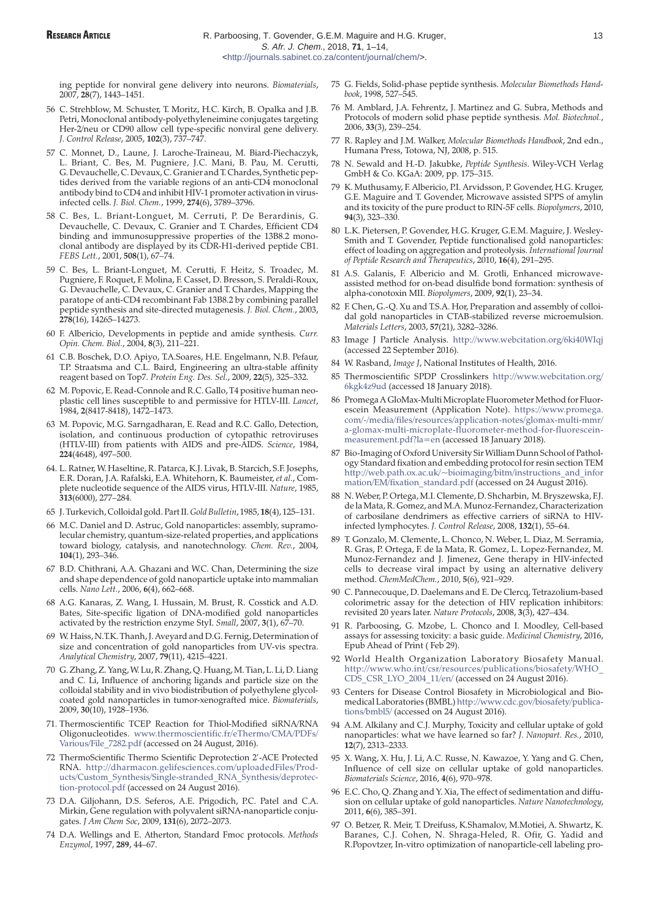ing peptide for nonviral gene delivery into neurons. *Biomaterials*, 2007, **28**(7), 1443–1451.

- 56 C. Strehblow, M. Schuster, T. Moritz, H.C. Kirch, B. Opalka and J.B. Petri, Monoclonal antibody-polyethyleneimine conjugates targeting Her-2/neu or CD90 allow cell type-specific nonviral gene delivery. *J. Control Release*, 2005, **102**(3), 737–747.
- 57 C. Monnet, D., Laune, J. Laroche-Traineau, M. Biard-Piechaczyk, L. Briant, C. Bes, M. Pugniere, J.C. Mani, B. Pau, M. Cerutti, G. Devauchelle, C. Devaux, C. Granier and T. Chardes, Synthetic peptides derived from the variable regions of an anti-CD4 monoclonal antibody bind to CD4 and inhibit HIV-1 promoter activation in virusinfected cells. *J. Biol. Chem.*, 1999, **274**(6), 3789–3796.
- 58 C. Bes, L. Briant-Longuet, M. Cerruti, P. De Berardinis, G. Devauchelle, C. Devaux, C. Granier and T. Chardes, Efficient CD4 binding and immunosuppressive properties of the 13B8.2 monoclonal antibody are displayed by its CDR-H1-derived peptide CB1. *FEBS Lett.*, 2001, **508**(1), 67–74.
- 59 C. Bes, L. Briant-Longuet, M. Cerutti, F. Heitz, S. Troadec, M. Pugniere, F. Roquet, F. Molina, F. Casset, D. Bresson, S. Peraldi-Roux, G. Devauchelle, C. Devaux, C. Granier and T. Chardes, Mapping the paratope of anti-CD4 recombinant Fab 13B8.2 by combining parallel peptide synthesis and site-directed mutagenesis. *J. Biol. Chem.*, 2003, **278**(16), 14265–14273.
- 60 F. Albericio, Developments in peptide and amide synthesis. *Curr. Opin. Chem. Biol.*, 2004, **8**(3), 211–221.
- 61 C.B. Boschek, D.O. Apiyo, T.A.Soares, H.E. Engelmann, N.B. Pefaur, T.P. Straatsma and C.L. Baird, Engineering an ultra-stable affinity reagent based on Top7. *Protein Eng. Des. Sel.*, 2009, **22**(5), 325–332.
- 62 M. Popovic, E. Read-Connole and R.C. Gallo, T4 positive human neoplastic cell lines susceptible to and permissive for HTLV-III. *Lancet*, 1984, **2**(8417-8418), 1472–1473.
- 63 M. Popovic, M.G. Sarngadharan, E. Read and R.C. Gallo, Detection, isolation, and continuous production of cytopathic retroviruses (HTLV-III) from patients with AIDS and pre-AIDS. *Science*, 1984, **224**(4648), 497–500.
- 64. L. Ratner, W. Haseltine, R. Patarca, K.J. Livak, B. Starcich, S.F. Josephs, E.R. Doran, J.A. Rafalski, E.A. Whitehorn, K. Baumeister, *et al.*, Complete nucleotide sequence of the AIDS virus, HTLV-III. *Nature*, 1985, **313**(6000), 277–284.
- 65 J. Turkevich, Colloidal gold. Part II. *Gold Bulletin*, 1985, **18**(4), 125–131.
- 66 M.C. Daniel and D. Astruc, Gold nanoparticles: assembly, supramolecular chemistry, quantum-size-related properties, and applications toward biology, catalysis, and nanotechnology. *Chem. Rev.*, 2004, **104**(1), 293–346.
- 67 B.D. Chithrani, A.A. Ghazani and W.C. Chan, Determining the size and shape dependence of gold nanoparticle uptake into mammalian cells. *Nano Lett.*, 2006, **6**(4), 662–668.
- 68 A.G. Kanaras, Z. Wang, I. Hussain, M. Brust, R. Cosstick and A.D. Bates, Site-specific ligation of DNA-modified gold nanoparticles activated by the restriction enzyme StyI. *Small*, 2007, **3**(1), 67–70.
- 69 W. Haiss, N.T.K. Thanh, J. Aveyard and D.G. Fernig, Determination of size and concentration of gold nanoparticles from UV-vis spectra. *Analytical Chemistry*, 2007, **79**(11), 4215–4221.
- 70 G. Zhang, Z. Yang, W. Lu, R. Zhang, Q. Huang, M. Tian, L. Li, D. Liang and C. Li, Influence of anchoring ligands and particle size on the colloidal stability and in vivo biodistribution of polyethylene glycolcoated gold nanoparticles in tumor-xenografted mice. *Biomaterials*, 2009, **30**(10), 1928–1936.
- 71. Thermoscientific TCEP Reaction for Thiol-Modified siRNA/RNA Oligonucleotides. [www.thermoscientific.fr/eThermo/CMA/PDFs/](www.thermoscientific.fr/eThermo/CMA/PDFs/Various/File_7282.pdf) Various/File\_7282.pdf (accessed on 24 August, 2016).
- 72 ThermoScientific Thermo Scientific Deprotection 2'-ACE Protected RNA. http://dharmacon.gelifesciences.com/uploadedFiles/Prod[ucts/Custom\\_Synthesis/Single-stranded\\_RNA\\_Synthesis/deprotec](http://dharmacon.gelifesciences.com/uploadedFiles/Products/Custom_Synthesis/Single-stranded_RNA_Synthesis/deprotection-protocol.pdf)tion-protocol.pdf (accessed on 24 August 2016).
- 73 D.A. Giljohann, D.S. Seferos, A.E. Prigodich, P.C. Patel and C.A. Mirkin, Gene regulation with polyvalent siRNA-nanoparticle conjugates. *J Am Chem Soc*, 2009, **131**(6), 2072–2073.
- 74 D.A. Wellings and E. Atherton, Standard Fmoc protocols. *Methods Enzymol*, 1997, **289**, 44–67.
- 75 G. Fields, Solid-phase peptide synthesis. *Molecular Biomethods Handbook*, 1998, 527–545.
- 76 M. Amblard, J.A. Fehrentz, J. Martinez and G. Subra, Methods and Protocols of modern solid phase peptide synthesis. *Mol. Biotechnol.*, 2006, **33**(3), 239–254.
- 77 R. Rapley and J.M. Walker, *Molecular Biomethods Handbook*, 2nd edn., Humana Press, Totowa, NJ, 2008, p. 515.
- 78 N. Sewald and H.-D. Jakubke, *Peptide Synthesis*. Wiley-VCH Verlag GmbH & Co. KGaA: 2009, pp. 175–315.
- 79 K. Muthusamy, F. Albericio, P.I. Arvidsson, P. Govender, H.G. Kruger, G.E. Maguire and T. Govender, Microwave assisted SPPS of amylin and its toxicity of the pure product to RIN-5F cells. *Biopolymers*, 2010, **94**(3), 323–330.
- 80 L.K. Pietersen, P. Govender, H.G. Kruger, G.E.M. Maguire, J. Wesley-Smith and T. Govender, Peptide functionalised gold nanoparticles: effect of loading on aggregation and proteolysis. *International Journal of Peptide Research and Therapeutics*, 2010, **16**(4), 291–295.
- 81 A.S. Galanis, F. Albericio and M. Grotli, Enhanced microwaveassisted method for on-bead disulfide bond formation: synthesis of alpha-conotoxin MII. *Biopolymers*, 2009, **92**(1), 23–34.
- 82 F. Chen, G.-Q. Xu and T.S.A. Hor, Preparation and assembly of colloidal gold nanoparticles in CTAB-stabilized reverse microemulsion. *Materials Letters*, 2003, **57**(21), 3282–3286.
- 83 Image J Particle Analysis. <http://www.webcitation.org/6ki40WIqj> (accessed 22 September 2016).
- 84 W. Rasband, *Image J*, National Institutes of Health, 2016.
- 85 [Thermoscientific SPDP Crosslinkers](http://www.webcitation.org/6kgk4z9ud) http://www.webcitation.org/ 6kgk4z9ud (accessed 18 January 2018).
- 86 Promega A GloMax-Multi Microplate Fluorometer Method for Fluorescein Measurement (Application Note). https://www.promega. com/-/media/files/resources/application-notes/glomax-multi-mmr/ [a-glomax-multi-microplate-fluorometer-method-for-fluorescein](https://www.promega.com/-/media/files/resources/application-notes/glomax-multi-mmr/a-glomax-multi-microplate-fluorometer-method-for-fluoresceinmeasurement.pdf?la=en)measurement.pdf?la=en (accessed 18 January 2018).
- 87 Bio-Imaging of Oxford University Sir William Dunn School of Pathology Standard fixation and embedding protocol for resin section TEM [http://web.path.ox.ac.uk/~bioimaging/bitm/instructions\\_and\\_infor](http://web.path.ox.ac.uk/~bioimaging/bitm/instructions_and_information/EM/fixation_standard.pdf) mation/EM/fixation\_standard.pdf (accessed on 24 August 2016).
- 88 N. Weber, P. Ortega, M.I. Clemente, D. Shcharbin, M. Bryszewska, F.J. de la Mata, R. Gomez, and M.A. Munoz-Fernandez, Characterization of carbosilane dendrimers as effective carriers of siRNA to HIVinfected lymphocytes. *J. Control Release*, 2008, **132**(1), 55–64.
- 89 T. Gonzalo, M. Clemente, L. Chonco, N. Weber, L. Diaz, M. Serramia, R. Gras, P. Ortega, F. de la Mata, R. Gomez, L. Lopez-Fernandez, M. Munoz-Fernandez and J. Jimenez, Gene therapy in HIV-infected cells to decrease viral impact by using an alternative delivery method. *ChemMedChem.*, 2010, **5**(6), 921–929.
- 90 C. Pannecouque, D. Daelemans and E. De Clercq, Tetrazolium-based colorimetric assay for the detection of HIV replication inhibitors: revisited 20 years later. *Nature Protocols*, 2008, **3**(3), 427–434.
- 91 R. Parboosing, G. Mzobe, L. Chonco and I. Moodley, Cell-based assays for assessing toxicity: a basic guide. *Medicinal Chemistry*, 2016, Epub Ahead of Print ( Feb 29).
- 92 World Health Organization Laboratory Biosafety Manual. [http://www.who.int/csr/resources/publications/biosafety/WHO\\_](http://www.who.int/csr/resources/publications/biosafety/WHO_CDS_CSR_LYO_2004_11/en/) CDS\_CSR\_LYO\_2004\_11/en/ (accessed on 24 August 2016).
- 93 Centers for Disease Control Biosafety in Microbiological and Biomedical Laboratories (BMBL) [http://www.cdc.gov/biosafety/publica](http://www.cdc.gov/biosafety/publications/bmbl5/)tions/bmbl5/ (accessed on 24 August 2016).
- 94 A.M. Alkilany and C.J. Murphy, Toxicity and cellular uptake of gold nanoparticles: what we have learned so far? *J. Nanopart. Res.*, 2010, **12**(7), 2313–2333.
- 95 X. Wang, X. Hu, J. Li, A.C. Russe, N. Kawazoe, Y. Yang and G. Chen, Influence of cell size on cellular uptake of gold nanoparticles. *Biomaterials Science*, 2016, **4**(6), 970–978.
- 96 E.C. Cho, Q. Zhang and Y. Xia, The effect of sedimentation and diffusion on cellular uptake of gold nanoparticles. *Nature Nanotechnology*, 2011, **6**(6), 385–391.
- 97 O. Betzer, R. Meir, T. Dreifuss, K.Shamalov, M.Motiei, A. Shwartz, K. Baranes, C.J. Cohen, N. Shraga-Heled, R. Ofir, G. Yadid and R.Popovtzer, In-vitro optimization of nanoparticle-cell labeling pro-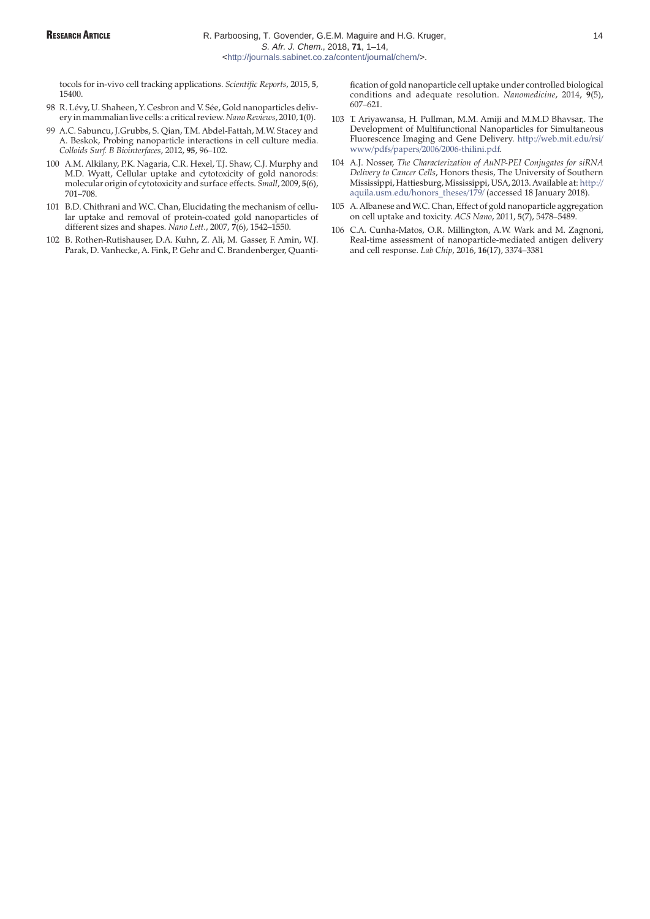tocols for in-vivo cell tracking applications. *Scientific Reports*, 2015, **5**, 15400.

- 98 R. Lévy, U. Shaheen, Y. Cesbron and V. Sée, Gold nanoparticles delivery in mammalian live cells: a critical review.*Nano Reviews*, 2010, **1**(0).
- 99 A.C. Sabuncu, J.Grubbs, S. Qian, T.M. Abdel-Fattah, M.W. Stacey and A. Beskok, Probing nanoparticle interactions in cell culture media. *Colloids Surf. B Biointerfaces*, 2012, **95**, 96–102.
- 100 A.M. Alkilany, P.K. Nagaria, C.R. Hexel, T.J. Shaw, C.J. Murphy and M.D. Wyatt, Cellular uptake and cytotoxicity of gold nanorods: molecular origin of cytotoxicity and surface effects. *Small*, 2009, **5**(6), 701–708.
- 101 B.D. Chithrani and W.C. Chan, Elucidating the mechanism of cellular uptake and removal of protein-coated gold nanoparticles of different sizes and shapes. *Nano Lett.*, 2007, **7**(6), 1542–1550.
- 102 B. Rothen-Rutishauser, D.A. Kuhn, Z. Ali, M. Gasser, F. Amin, W.J. Parak, D. Vanhecke, A. Fink, P. Gehr and C. Brandenberger, Quanti-

fication of gold nanoparticle cell uptake under controlled biological conditions and adequate resolution. *Nanomedicine*, 2014, **9**(5), 607–621.

- 103 T. Ariyawansa, H. Pullman, M.M. Amiji and M.M.D Bhavsar,. The Development of Multifunctional Nanoparticles for Simultaneous [Fluorescence Imaging and Gene Delivery.](http://web.mit.edu/rsi/www/pdfs/papers/2006/2006-thilini.pdf) http://web.mit.edu/rsi/ www/pdfs/papers/2006/2006-thilini.pdf.
- 104 A.J. Nosser, *The Characterization of AuNP-PEI Conjugates for siRNA Delivery to Cancer Cells*, Honors thesis, The University of Southern [Mississippi, Hattiesburg, Mississippi, USA, 2013. Available at:](http://aquila.usm.edu/honors_theses/179/) http:// aquila.usm.edu/honors\_theses/179/ (accessed 18 January 2018).
- 105 A. Albanese and W.C. Chan, Effect of gold nanoparticle aggregation on cell uptake and toxicity. *ACS Nano*, 2011, **5**(7), 5478–5489.
- 106 C.A. Cunha-Matos, O.R. Millington, A.W. Wark and M. Zagnoni, Real-time assessment of nanoparticle-mediated antigen delivery and cell response. *Lab Chip*, 2016, **16**(17), 3374–3381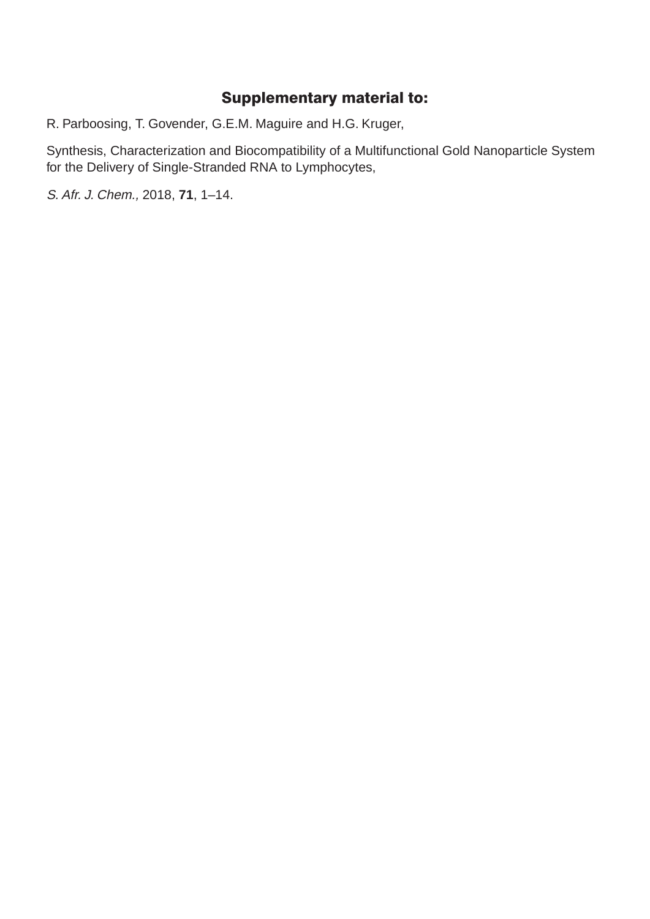# Supplementary material to:

R. Parboosing, T. Govender, G.E.M. Maguire and H.G. Kruger,

Synthesis, Characterization and Biocompatibility of a Multifunctional Gold Nanoparticle System for the Delivery of Single-Stranded RNA to Lymphocytes,

S. Afr. J. Chem., 2018, **71**, 1–14.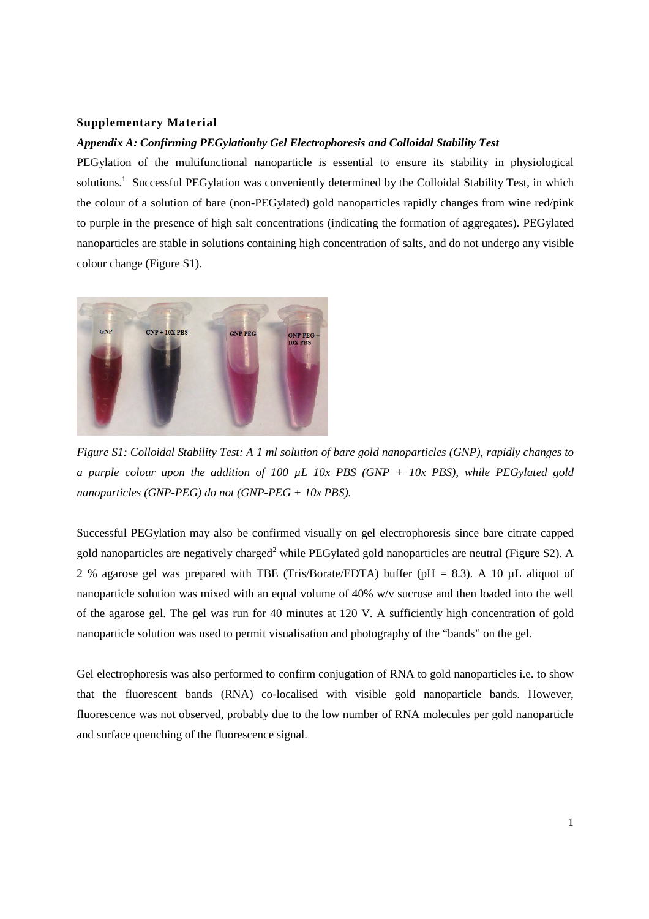# **Supplementary Material**

# *Appendix A: Confirming PEGylationby Gel Electrophoresis and Colloidal Stability Test*

PEGylation of the multifunctional nanoparticle is essential to ensure its stability in physiological solutions.<sup>1</sup> Successful PEGylation was conveniently determined by the Colloidal Stability Test, in which the colour of a solution of bare (non-PEGylated) gold nanoparticles rapidly changes from wine red/pink to purple in the presence of high salt concentrations (indicating the formation of aggregates). PEGylated nanoparticles are stable in solutions containing high concentration of salts, and do not undergo any visible colour change (Figure S1).



*Figure S1: Colloidal Stability Test: A 1 ml solution of bare gold nanoparticles (GNP), rapidly changes to a purple colour upon the addition of 100 µL 10x PBS (GNP + 10x PBS), while PEGylated gold nanoparticles (GNP-PEG) do not (GNP-PEG + 10x PBS).* 

Successful PEGylation may also be confirmed visually on gel electrophoresis since bare citrate capped gold nanoparticles are negatively charged<sup>2</sup> while PEGylated gold nanoparticles are neutral (Figure S2). A 2 % agarose gel was prepared with TBE (Tris/Borate/EDTA) buffer ( $pH = 8.3$ ). A 10  $\mu$ L aliquot of nanoparticle solution was mixed with an equal volume of 40% w/v sucrose and then loaded into the well of the agarose gel. The gel was run for 40 minutes at 120 V. A sufficiently high concentration of gold nanoparticle solution was used to permit visualisation and photography of the "bands" on the gel.

Gel electrophoresis was also performed to confirm conjugation of RNA to gold nanoparticles i.e. to show that the fluorescent bands (RNA) co-localised with visible gold nanoparticle bands. However, fluorescence was not observed, probably due to the low number of RNA molecules per gold nanoparticle and surface quenching of the fluorescence signal.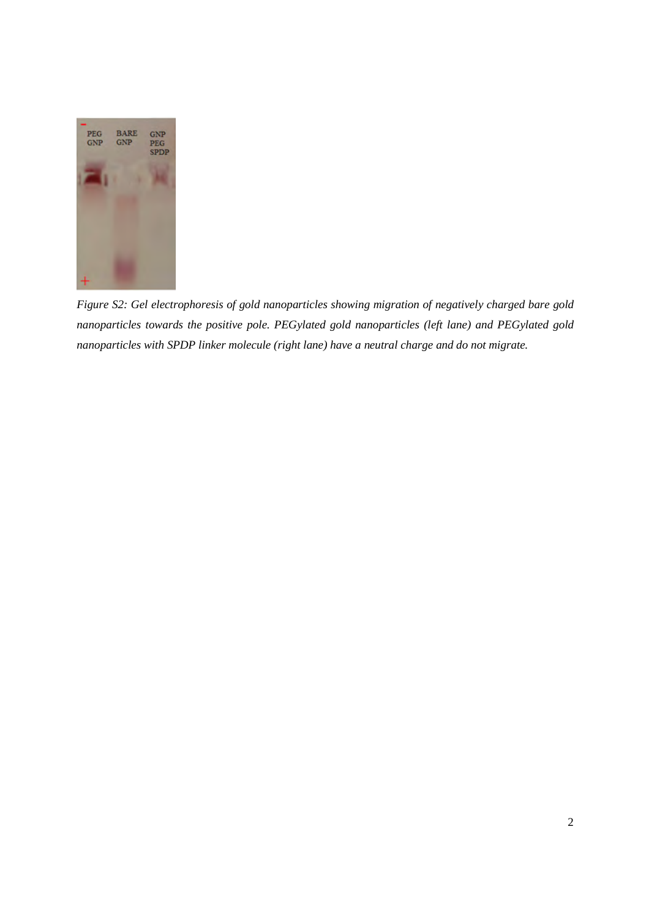

*Figure S2: Gel electrophoresis of gold nanoparticles showing migration of negatively charged bare gold nanoparticles towards the positive pole. PEGylated gold nanoparticles (left lane) and PEGylated gold nanoparticles with SPDP linker molecule (right lane) have a neutral charge and do not migrate.*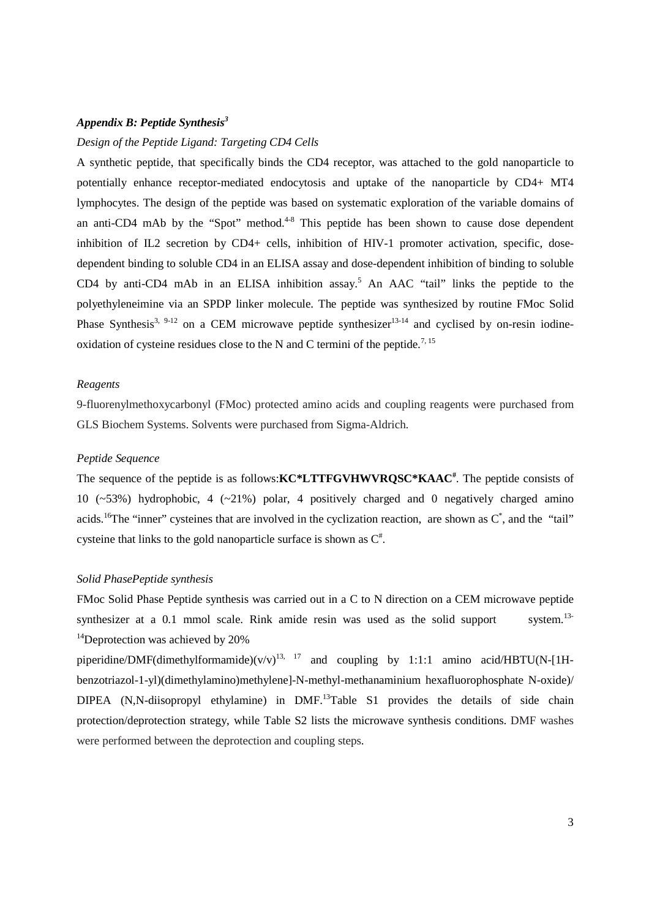# *Appendix B: Peptide Synthesis3*

# *Design of the Peptide Ligand: Targeting CD4 Cells*

A synthetic peptide, that specifically binds the CD4 receptor, was attached to the gold nanoparticle to potentially enhance receptor-mediated endocytosis and uptake of the nanoparticle by CD4+ MT4 lymphocytes. The design of the peptide was based on systematic exploration of the variable domains of an anti-CD4 mAb by the "Spot" method.<sup>4-8</sup> This peptide has been shown to cause dose dependent inhibition of IL2 secretion by CD4+ cells, inhibition of HIV-1 promoter activation, specific, dosedependent binding to soluble CD4 in an ELISA assay and dose-dependent inhibition of binding to soluble CD4 by anti-CD4 mAb in an ELISA inhibition assay.<sup>5</sup> An AAC "tail" links the peptide to the polyethyleneimine via an SPDP linker molecule. The peptide was synthesized by routine FMoc Solid Phase Synthesis<sup>3, 9-12</sup> on a CEM microwave peptide synthesizer<sup>13-14</sup> and cyclised by on-resin iodineoxidation of cysteine residues close to the N and C termini of the peptide.<sup>7, 15</sup>

# *Reagents*

9-fluorenylmethoxycarbonyl (FMoc) protected amino acids and coupling reagents were purchased from GLS Biochem Systems. Solvents were purchased from Sigma-Aldrich.

# *Peptide Sequence*

The sequence of the peptide is as follows:**KC\*LTTFGVHWVRQSC\*KAAC<sup>#</sup>**. The peptide consists of 10 ( $\approx$ 53%) hydrophobic, 4 ( $\approx$ 21%) polar, 4 positively charged and 0 negatively charged amino acids.<sup>16</sup>The "inner" cysteines that are involved in the cyclization reaction, are shown as  $C^*$ , and the "tail" cysteine that links to the gold nanoparticle surface is shown as  $C^*$ .

# *Solid PhasePeptide synthesis*

FMoc Solid Phase Peptide synthesis was carried out in a C to N direction on a CEM microwave peptide synthesizer at a 0.1 mmol scale. Rink amide resin was used as the solid support system.<sup>13-</sup>  $14$ Deprotection was achieved by 20%

piperidine/DMF(dimethylformamide)(v/v)<sup>13, 17</sup> and coupling by 1:1:1 amino acid/HBTU(N-[1Hbenzotriazol-1-yl)(dimethylamino)methylene]-N-methyl-methanaminium hexafluorophosphate N-oxide)/ DIPEA (N,N-diisopropyl ethylamine) in DMF.<sup>13</sup>Table S1 provides the details of side chain protection/deprotection strategy, while Table S2 lists the microwave synthesis conditions. DMF washes were performed between the deprotection and coupling steps.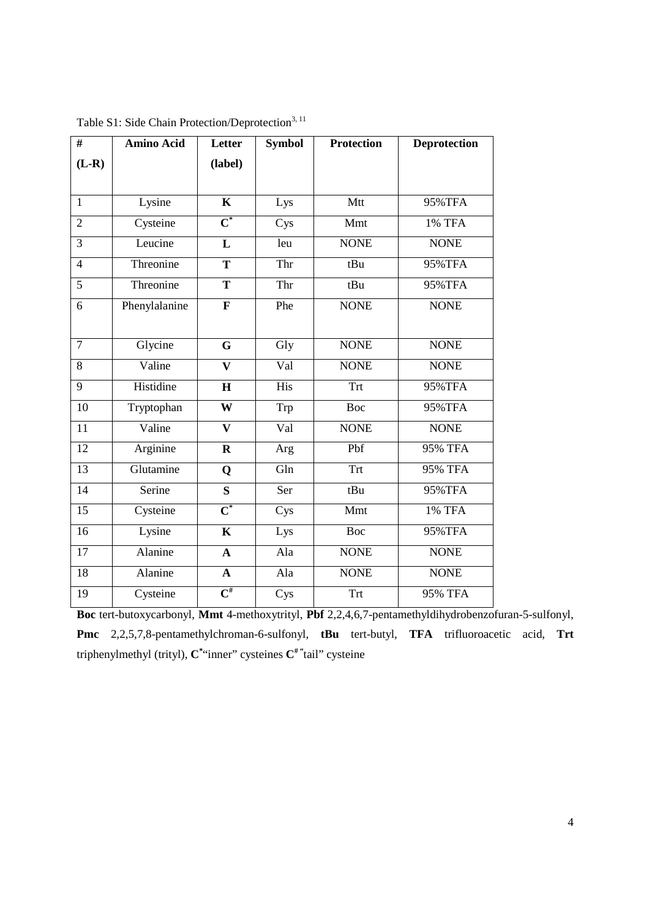| #              | <b>Amino Acid</b> | <b>Letter</b>                | <b>Symbol</b> | <b>Protection</b> | <b>Deprotection</b> |
|----------------|-------------------|------------------------------|---------------|-------------------|---------------------|
| $(L-R)$        |                   | (label)                      |               |                   |                     |
|                |                   |                              |               |                   |                     |
| $\mathbf{1}$   | Lysine            | $\mathbf K$                  | Lys           | Mtt               | 95%TFA              |
| $\overline{2}$ | Cysteine          | $\overline{\textbf{C}}^*$    | Cys           | Mmt               | 1% TFA              |
| 3              | Leucine           | L                            | leu           | <b>NONE</b>       | <b>NONE</b>         |
| $\overline{4}$ | Threonine         | T                            | Thr           | tBu               | 95%TFA              |
| $\overline{5}$ | Threonine         | $\overline{T}$               | Thr           | tBu               | 95%TFA              |
| 6              | Phenylalanine     | $\mathbf{F}$                 | Phe           | <b>NONE</b>       | <b>NONE</b>         |
|                |                   |                              |               |                   |                     |
| $\overline{7}$ | Glycine           | G                            | Gly           | <b>NONE</b>       | <b>NONE</b>         |
| 8              | Valine            | $\mathbf{V}$                 | Val           | <b>NONE</b>       | <b>NONE</b>         |
| 9              | Histidine         | $\mathbf H$                  | His           | <b>Trt</b>        | 95%TFA              |
| 10             | Tryptophan        | W                            | Trp           | Boc               | 95%TFA              |
| 11             | Valine            | $\mathbf{V}$                 | Val           | <b>NONE</b>       | <b>NONE</b>         |
| 12             | Arginine          | $\mathbf R$                  | Arg           | Pbf               | 95% TFA             |
| 13             | Glutamine         | Q                            | Gln           | Trt               | <b>95% TFA</b>      |
| 14             | Serine            | $\overline{\mathbf{S}}$      | Ser           | tBu               | 95%TFA              |
| 15             | Cysteine          | $\overline{\mathbf{C}}^*$    | Cys           | Mmt               | 1% TFA              |
| 16             | Lysine            | $\mathbf K$                  | Lys           | Boc               | 95%TFA              |
| 17             | Alanine           | $\mathbf{A}$                 | Ala           | <b>NONE</b>       | <b>NONE</b>         |
| 18             | Alanine           | $\mathbf{A}$                 | Ala           | <b>NONE</b>       | <b>NONE</b>         |
| 19             | Cysteine          | $\overline{\mathbf{C}}^{\#}$ | Cys           | Trt               | <b>95% TFA</b>      |

| Table S1: Side Chain Protection/Deprotection <sup>3, 11</sup> |  |  |  |  |  |  |  |
|---------------------------------------------------------------|--|--|--|--|--|--|--|
|---------------------------------------------------------------|--|--|--|--|--|--|--|

**Boc** tert-butoxycarbonyl, **Mmt** 4-methoxytrityl, **Pbf** 2,2,4,6,7-pentamethyldihydrobenzofuran-5-sulfonyl, **Pmc** 2,2,5,7,8-pentamethylchroman-6-sulfonyl, **tBu** tert-butyl, **TFA** trifluoroacetic acid, **Trt** triphenylmethyl (trityl), **C\*** "inner" cysteines **C# "**tail" cysteine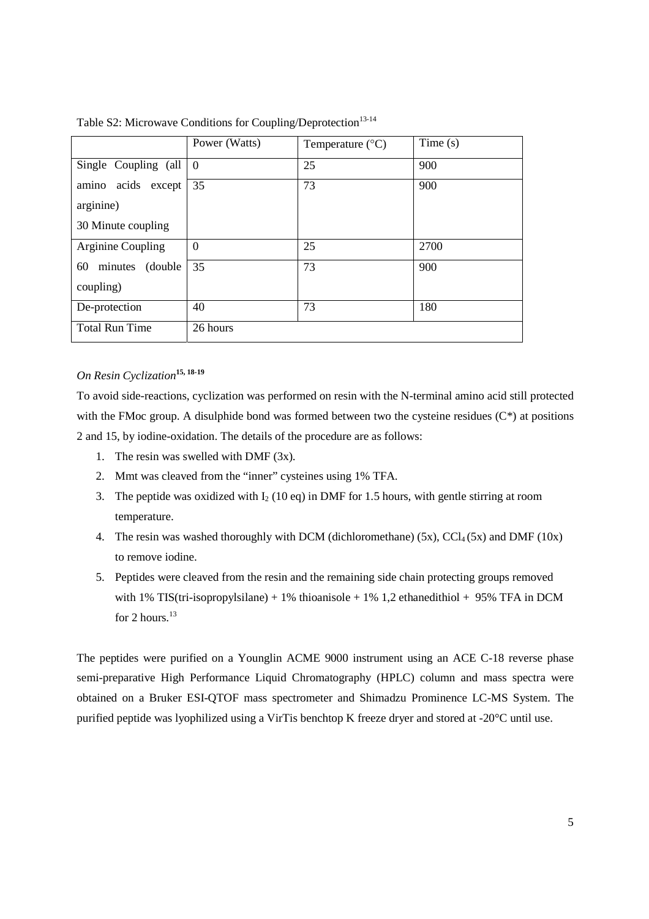|                        | Power (Watts) | Temperature $(^{\circ}C)$ | Time $(s)$ |
|------------------------|---------------|---------------------------|------------|
| Single Coupling (all   | $\theta$      | 25                        | 900        |
| amino acids except     | 35            | 73                        | 900        |
| arginine)              |               |                           |            |
| 30 Minute coupling     |               |                           |            |
| Arginine Coupling      | $\Omega$      | 25                        | 2700       |
| minutes (double)<br>60 | 35            | 73                        | 900        |
| coupling)              |               |                           |            |
| De-protection          | 40            | 73                        | 180        |
| <b>Total Run Time</b>  | 26 hours      |                           |            |

Table S2: Microwave Conditions for Coupling/Deprotection<sup>13-14</sup>

# *On Resin Cyclization***15, 18-19**

To avoid side-reactions, cyclization was performed on resin with the N-terminal amino acid still protected with the FMoc group. A disulphide bond was formed between two the cysteine residues ( $C^*$ ) at positions 2 and 15, by iodine-oxidation. The details of the procedure are as follows:

- 1. The resin was swelled with DMF (3x).
- 2. Mmt was cleaved from the "inner" cysteines using 1% TFA.
- 3. The peptide was oxidized with  $I_2$  (10 eq) in DMF for 1.5 hours, with gentle stirring at room temperature.
- 4. The resin was washed thoroughly with DCM (dichloromethane)  $(5x)$ ,  $CCl_4(5x)$  and DMF  $(10x)$ to remove iodine.
- 5. Peptides were cleaved from the resin and the remaining side chain protecting groups removed with 1% TIS(tri-isopropylsilane) + 1% thioanisole + 1% 1,2 ethanedithiol + 95% TFA in DCM for  $2$  hours.<sup>13</sup>

The peptides were purified on a Younglin ACME 9000 instrument using an ACE C-18 reverse phase semi-preparative High Performance Liquid Chromatography (HPLC) column and mass spectra were obtained on a Bruker ESI-QTOF mass spectrometer and Shimadzu Prominence LC-MS System. The purified peptide was lyophilized using a VirTis benchtop K freeze dryer and stored at -20°C until use.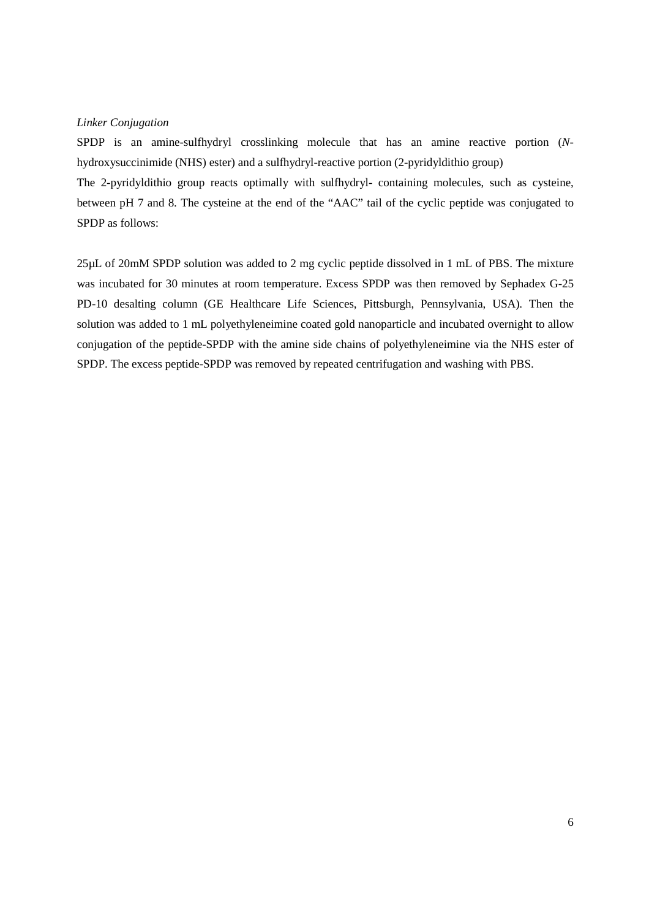# *Linker Conjugation*

SPDP is an amine-sulfhydryl crosslinking molecule that has an amine reactive portion (*N*hydroxysuccinimide (NHS) ester) and a sulfhydryl-reactive portion (2-pyridyldithio group)

The 2-pyridyldithio group reacts optimally with sulfhydryl- containing molecules, such as cysteine, between pH 7 and 8. The cysteine at the end of the "AAC" tail of the cyclic peptide was conjugated to SPDP as follows:

25µL of 20mM SPDP solution was added to 2 mg cyclic peptide dissolved in 1 mL of PBS. The mixture was incubated for 30 minutes at room temperature. Excess SPDP was then removed by Sephadex G-25 PD-10 desalting column (GE Healthcare Life Sciences, Pittsburgh, Pennsylvania, USA). Then the solution was added to 1 mL polyethyleneimine coated gold nanoparticle and incubated overnight to allow conjugation of the peptide-SPDP with the amine side chains of polyethyleneimine via the NHS ester of SPDP. The excess peptide-SPDP was removed by repeated centrifugation and washing with PBS.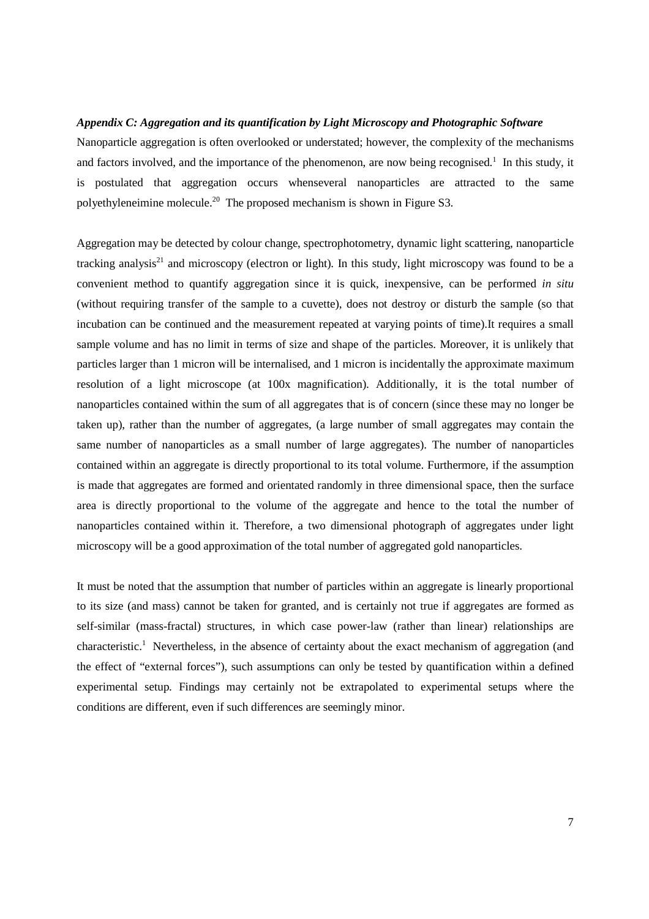# *Appendix C: Aggregation and its quantification by Light Microscopy and Photographic Software*

Nanoparticle aggregation is often overlooked or understated; however, the complexity of the mechanisms and factors involved, and the importance of the phenomenon, are now being recognised.<sup>1</sup> In this study, it is postulated that aggregation occurs whenseveral nanoparticles are attracted to the same polyethyleneimine molecule.20 The proposed mechanism is shown in Figure S3.

Aggregation may be detected by colour change, spectrophotometry, dynamic light scattering, nanoparticle tracking analysis<sup>21</sup> and microscopy (electron or light). In this study, light microscopy was found to be a convenient method to quantify aggregation since it is quick, inexpensive, can be performed *in situ* (without requiring transfer of the sample to a cuvette), does not destroy or disturb the sample (so that incubation can be continued and the measurement repeated at varying points of time).It requires a small sample volume and has no limit in terms of size and shape of the particles. Moreover, it is unlikely that particles larger than 1 micron will be internalised, and 1 micron is incidentally the approximate maximum resolution of a light microscope (at 100x magnification). Additionally, it is the total number of nanoparticles contained within the sum of all aggregates that is of concern (since these may no longer be taken up), rather than the number of aggregates, (a large number of small aggregates may contain the same number of nanoparticles as a small number of large aggregates). The number of nanoparticles contained within an aggregate is directly proportional to its total volume. Furthermore, if the assumption is made that aggregates are formed and orientated randomly in three dimensional space, then the surface area is directly proportional to the volume of the aggregate and hence to the total the number of nanoparticles contained within it. Therefore, a two dimensional photograph of aggregates under light microscopy will be a good approximation of the total number of aggregated gold nanoparticles.

It must be noted that the assumption that number of particles within an aggregate is linearly proportional to its size (and mass) cannot be taken for granted, and is certainly not true if aggregates are formed as self-similar (mass-fractal) structures, in which case power-law (rather than linear) relationships are characteristic.<sup>1</sup> Nevertheless, in the absence of certainty about the exact mechanism of aggregation (and the effect of "external forces"), such assumptions can only be tested by quantification within a defined experimental setup. Findings may certainly not be extrapolated to experimental setups where the conditions are different, even if such differences are seemingly minor.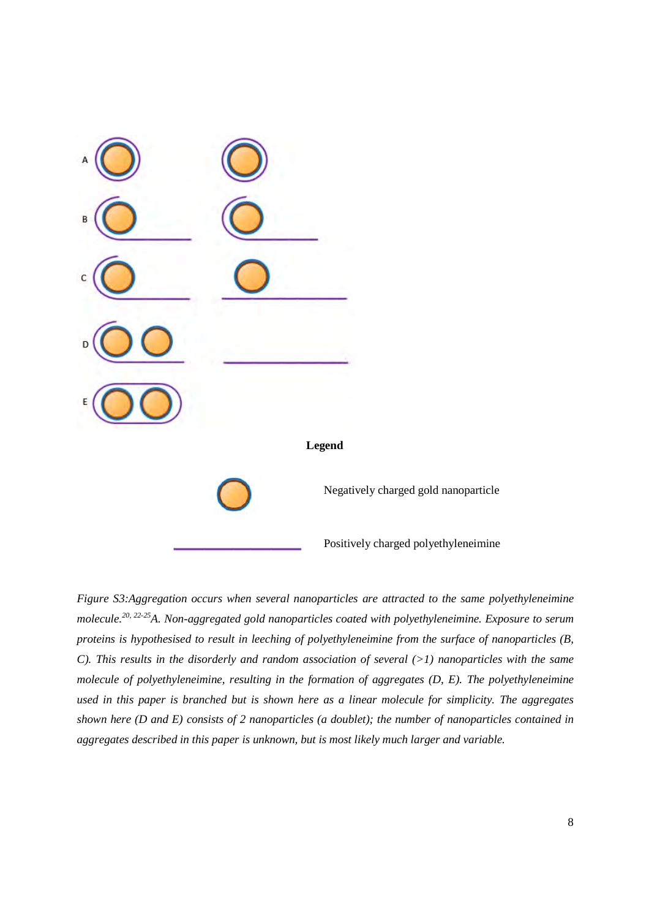

*Figure S3:Aggregation occurs when several nanoparticles are attracted to the same polyethyleneimine molecule.20, 22-25A. Non-aggregated gold nanoparticles coated with polyethyleneimine. Exposure to serum proteins is hypothesised to result in leeching of polyethyleneimine from the surface of nanoparticles (B, C*). This results in the disorderly and random association of several (>1) nanoparticles with the same *molecule of polyethyleneimine, resulting in the formation of aggregates (D, E). The polyethyleneimine used in this paper is branched but is shown here as a linear molecule for simplicity. The aggregates shown here (D and E) consists of 2 nanoparticles (a doublet); the number of nanoparticles contained in aggregates described in this paper is unknown, but is most likely much larger and variable.*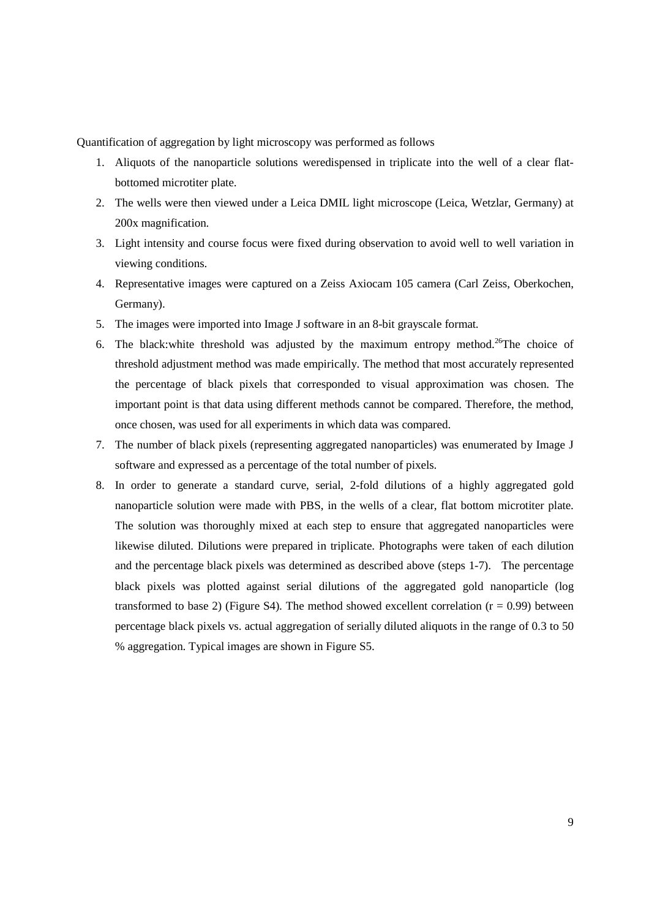Quantification of aggregation by light microscopy was performed as follows

- 1. Aliquots of the nanoparticle solutions weredispensed in triplicate into the well of a clear flatbottomed microtiter plate.
- 2. The wells were then viewed under a Leica DMIL light microscope (Leica, Wetzlar, Germany) at 200x magnification.
- 3. Light intensity and course focus were fixed during observation to avoid well to well variation in viewing conditions.
- 4. Representative images were captured on a Zeiss Axiocam 105 camera (Carl Zeiss, Oberkochen, Germany).
- 5. The images were imported into Image J software in an 8-bit grayscale format.
- 6. The black:white threshold was adjusted by the maximum entropy method.26The choice of threshold adjustment method was made empirically. The method that most accurately represented the percentage of black pixels that corresponded to visual approximation was chosen. The important point is that data using different methods cannot be compared. Therefore, the method, once chosen, was used for all experiments in which data was compared.
- 7. The number of black pixels (representing aggregated nanoparticles) was enumerated by Image J software and expressed as a percentage of the total number of pixels.
- 8. In order to generate a standard curve, serial, 2-fold dilutions of a highly aggregated gold nanoparticle solution were made with PBS, in the wells of a clear, flat bottom microtiter plate. The solution was thoroughly mixed at each step to ensure that aggregated nanoparticles were likewise diluted. Dilutions were prepared in triplicate. Photographs were taken of each dilution and the percentage black pixels was determined as described above (steps 1-7). The percentage black pixels was plotted against serial dilutions of the aggregated gold nanoparticle (log transformed to base 2) (Figure S4). The method showed excellent correlation  $(r = 0.99)$  between percentage black pixels vs. actual aggregation of serially diluted aliquots in the range of 0.3 to 50 % aggregation. Typical images are shown in Figure S5.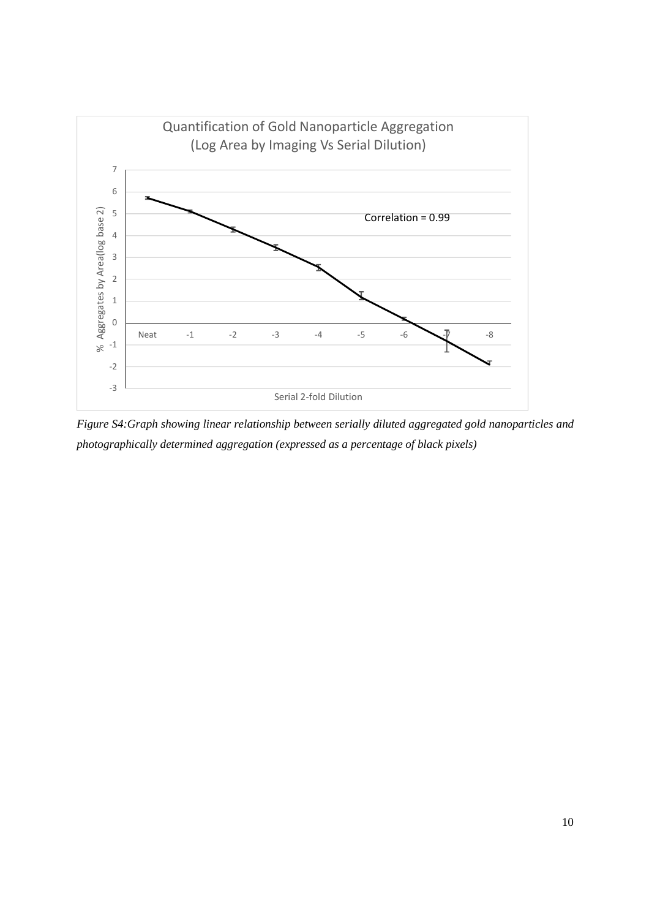

*Figure S4:Graph showing linear relationship between serially diluted aggregated gold nanoparticles and photographically determined aggregation (expressed as a percentage of black pixels)*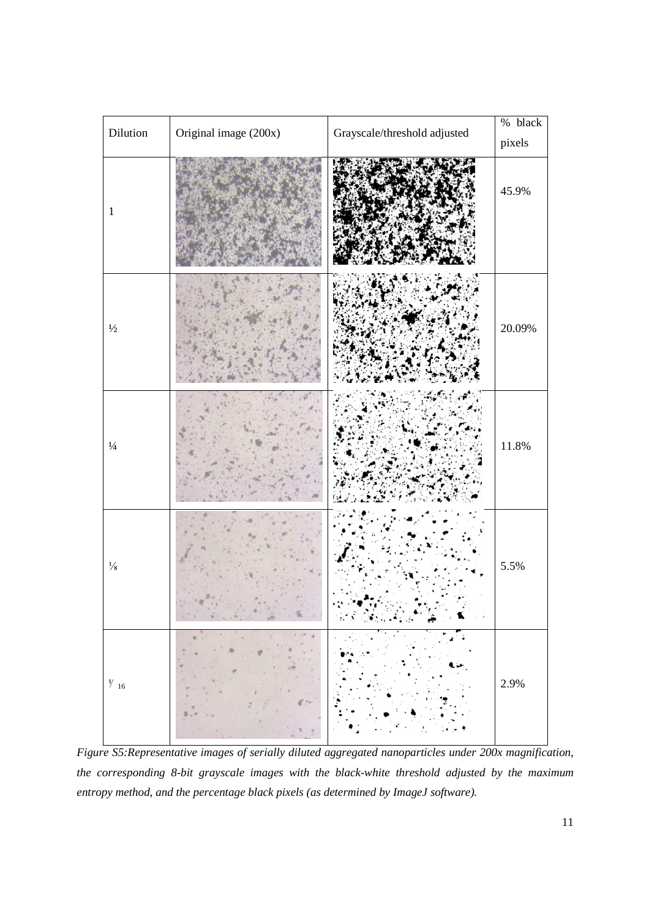

*Figure S5:Representative images of serially diluted aggregated nanoparticles under 200x magnification, the corresponding 8-bit grayscale images with the black-white threshold adjusted by the maximum entropy method, and the percentage black pixels (as determined by ImageJ software).*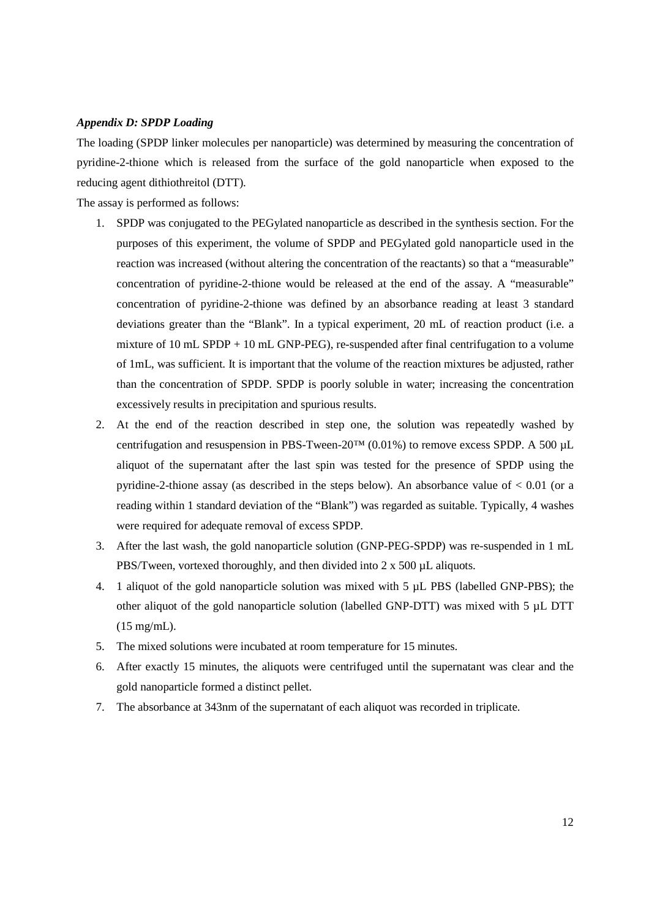# *Appendix D: SPDP Loading*

The loading (SPDP linker molecules per nanoparticle) was determined by measuring the concentration of pyridine-2-thione which is released from the surface of the gold nanoparticle when exposed to the reducing agent dithiothreitol (DTT).

The assay is performed as follows:

- 1. SPDP was conjugated to the PEGylated nanoparticle as described in the synthesis section. For the purposes of this experiment, the volume of SPDP and PEGylated gold nanoparticle used in the reaction was increased (without altering the concentration of the reactants) so that a "measurable" concentration of pyridine-2-thione would be released at the end of the assay. A "measurable" concentration of pyridine-2-thione was defined by an absorbance reading at least 3 standard deviations greater than the "Blank". In a typical experiment, 20 mL of reaction product (i.e. a mixture of 10 mL SPDP + 10 mL GNP-PEG), re-suspended after final centrifugation to a volume of 1mL, was sufficient. It is important that the volume of the reaction mixtures be adjusted, rather than the concentration of SPDP. SPDP is poorly soluble in water; increasing the concentration excessively results in precipitation and spurious results.
- 2. At the end of the reaction described in step one, the solution was repeatedly washed by centrifugation and resuspension in PBS-Tween-20<sup>TM</sup> (0.01%) to remove excess SPDP. A 500 µL aliquot of the supernatant after the last spin was tested for the presence of SPDP using the pyridine-2-thione assay (as described in the steps below). An absorbance value of  $< 0.01$  (or a reading within 1 standard deviation of the "Blank") was regarded as suitable. Typically, 4 washes were required for adequate removal of excess SPDP.
- 3. After the last wash, the gold nanoparticle solution (GNP-PEG-SPDP) was re-suspended in 1 mL PBS/Tween, vortexed thoroughly, and then divided into 2 x 500 µL aliquots.
- 4. 1 aliquot of the gold nanoparticle solution was mixed with 5 µL PBS (labelled GNP-PBS); the other aliquot of the gold nanoparticle solution (labelled GNP-DTT) was mixed with 5 µL DTT (15 mg/mL).
- 5. The mixed solutions were incubated at room temperature for 15 minutes.
- 6. After exactly 15 minutes, the aliquots were centrifuged until the supernatant was clear and the gold nanoparticle formed a distinct pellet.
- 7. The absorbance at 343nm of the supernatant of each aliquot was recorded in triplicate.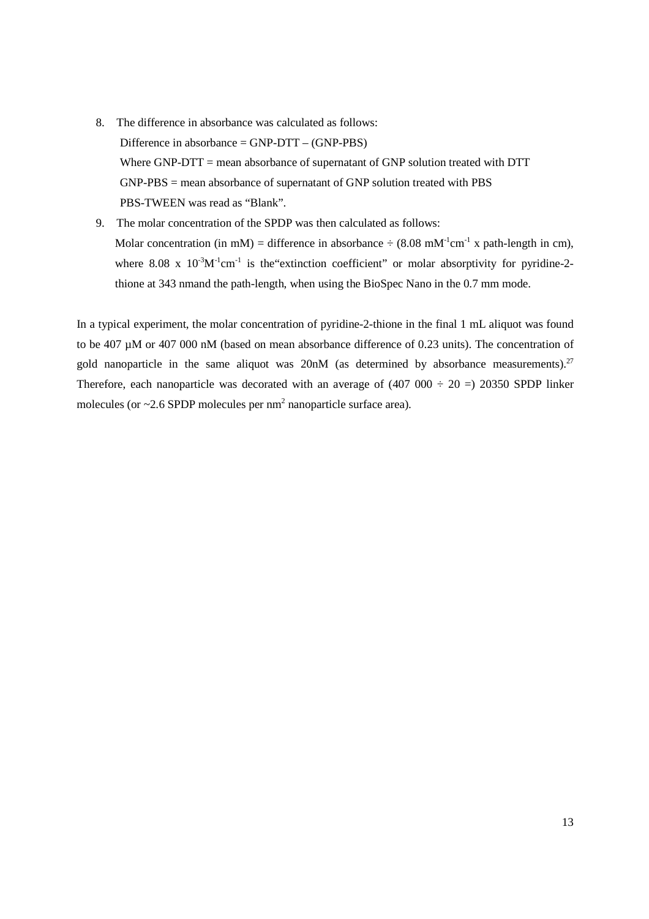- 8. The difference in absorbance was calculated as follows: Difference in absorbance  $=$  GNP-DTT  $-$  (GNP-PBS) Where GNP-DTT = mean absorbance of supernatant of GNP solution treated with DTT GNP-PBS = mean absorbance of supernatant of GNP solution treated with PBS PBS-TWEEN was read as "Blank".
- 9. The molar concentration of the SPDP was then calculated as follows: Molar concentration (in mM) = difference in absorbance  $\div$  (8.08 mM<sup>-1</sup>cm<sup>-1</sup> x path-length in cm), where 8.08 x  $10^{-3}M^{-1}cm^{-1}$  is the extinction coefficient" or molar absorptivity for pyridine-2thione at 343 nmand the path-length, when using the BioSpec Nano in the 0.7 mm mode.

In a typical experiment, the molar concentration of pyridine-2-thione in the final 1 mL aliquot was found to be 407 µM or 407 000 nM (based on mean absorbance difference of 0.23 units). The concentration of gold nanoparticle in the same aliquot was  $20nM$  (as determined by absorbance measurements).<sup>27</sup> Therefore, each nanoparticle was decorated with an average of  $(407 000 \div 20 = 20350$  SPDP linker molecules (or  $\sim$  2.6 SPDP molecules per nm<sup>2</sup> nanoparticle surface area).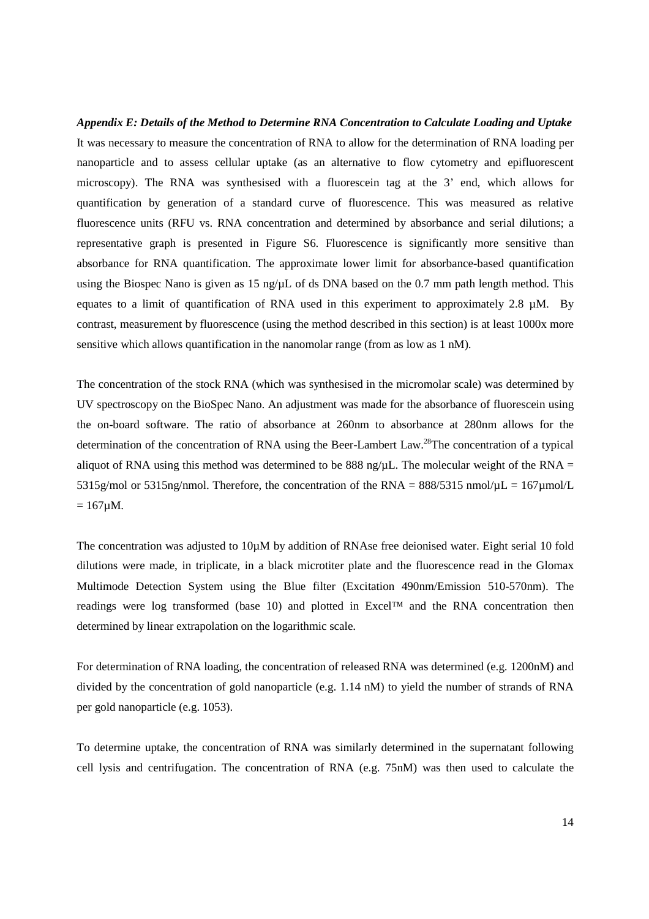# *Appendix E: Details of the Method to Determine RNA Concentration to Calculate Loading and Uptake*  It was necessary to measure the concentration of RNA to allow for the determination of RNA loading per nanoparticle and to assess cellular uptake (as an alternative to flow cytometry and epifluorescent microscopy). The RNA was synthesised with a fluorescein tag at the 3' end, which allows for quantification by generation of a standard curve of fluorescence. This was measured as relative fluorescence units (RFU vs. RNA concentration and determined by absorbance and serial dilutions; a representative graph is presented in Figure S6. Fluorescence is significantly more sensitive than absorbance for RNA quantification. The approximate lower limit for absorbance-based quantification using the Biospec Nano is given as 15  $\frac{ng}{µ}$  of ds DNA based on the 0.7 mm path length method. This equates to a limit of quantification of RNA used in this experiment to approximately 2.8 µM. By contrast, measurement by fluorescence (using the method described in this section) is at least 1000x more sensitive which allows quantification in the nanomolar range (from as low as 1 nM).

The concentration of the stock RNA (which was synthesised in the micromolar scale) was determined by UV spectroscopy on the BioSpec Nano. An adjustment was made for the absorbance of fluorescein using the on-board software. The ratio of absorbance at 260nm to absorbance at 280nm allows for the determination of the concentration of RNA using the Beer-Lambert Law.28The concentration of a typical aliquot of RNA using this method was determined to be 888 ng/ $\mu$ L. The molecular weight of the RNA = 5315g/mol or 5315ng/nmol. Therefore, the concentration of the RNA =  $88\frac{\text{m}}{\text{m}}$  mol/ $\mu$ L = 167 $\mu$ mol/L  $= 167 \mu M$ .

The concentration was adjusted to 10µM by addition of RNAse free deionised water. Eight serial 10 fold dilutions were made, in triplicate, in a black microtiter plate and the fluorescence read in the Glomax Multimode Detection System using the Blue filter (Excitation 490nm/Emission 510-570nm). The readings were log transformed (base 10) and plotted in Excel™ and the RNA concentration then determined by linear extrapolation on the logarithmic scale.

For determination of RNA loading, the concentration of released RNA was determined (e.g. 1200nM) and divided by the concentration of gold nanoparticle (e.g. 1.14 nM) to yield the number of strands of RNA per gold nanoparticle (e.g. 1053).

To determine uptake, the concentration of RNA was similarly determined in the supernatant following cell lysis and centrifugation. The concentration of RNA (e.g. 75nM) was then used to calculate the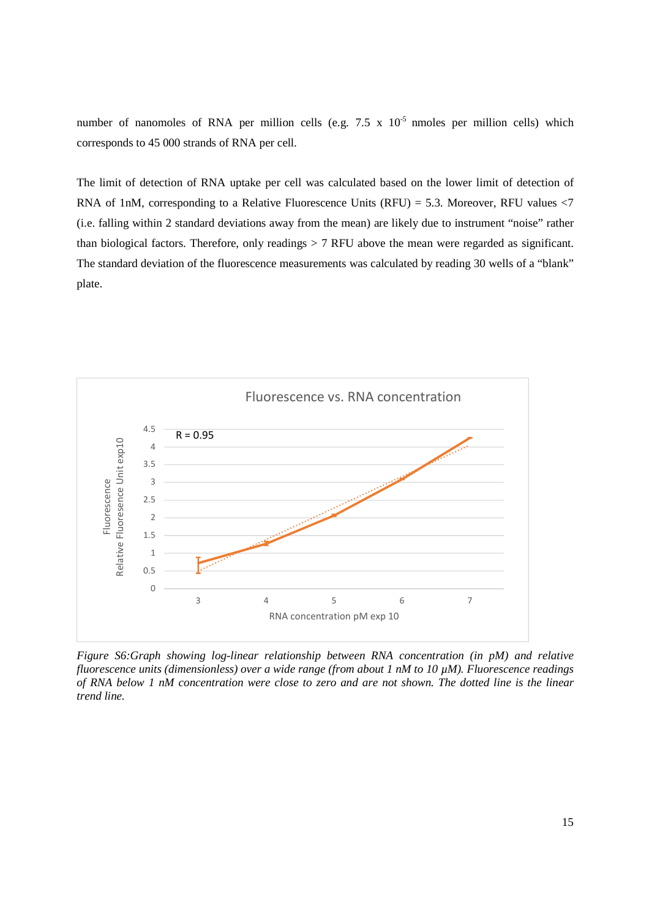number of nanomoles of RNA per million cells (e.g.  $7.5 \times 10^{-5}$  nmoles per million cells) which corresponds to 45 000 strands of RNA per cell.

The limit of detection of RNA uptake per cell was calculated based on the lower limit of detection of RNA of 1nM, corresponding to a Relative Fluorescence Units (RFU) = 5.3. Moreover, RFU values  $\langle 7 \rangle$ (i.e. falling within 2 standard deviations away from the mean) are likely due to instrument "noise" rather than biological factors. Therefore, only readings > 7 RFU above the mean were regarded as significant. The standard deviation of the fluorescence measurements was calculated by reading 30 wells of a "blank" plate.



*Figure S6:Graph showing log-linear relationship between RNA concentration (in pM) and relative fluorescence units (dimensionless) over a wide range (from about 1 nM to 10 µM). Fluorescence readings of RNA below 1 nM concentration were close to zero and are not shown. The dotted line is the linear trend line.*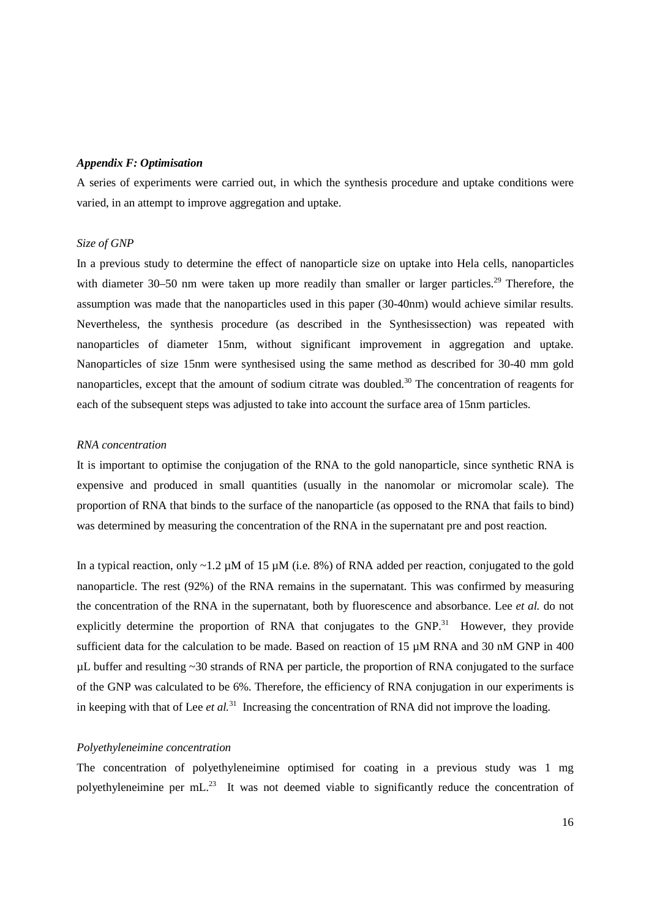# *Appendix F: Optimisation*

A series of experiments were carried out, in which the synthesis procedure and uptake conditions were varied, in an attempt to improve aggregation and uptake.

# *Size of GNP*

In a previous study to determine the effect of nanoparticle size on uptake into Hela cells, nanoparticles with diameter 30–50 nm were taken up more readily than smaller or larger particles.<sup>29</sup> Therefore, the assumption was made that the nanoparticles used in this paper (30-40nm) would achieve similar results. Nevertheless, the synthesis procedure (as described in the Synthesissection) was repeated with nanoparticles of diameter 15nm, without significant improvement in aggregation and uptake. Nanoparticles of size 15nm were synthesised using the same method as described for 30-40 mm gold nanoparticles, except that the amount of sodium citrate was doubled.<sup>30</sup> The concentration of reagents for each of the subsequent steps was adjusted to take into account the surface area of 15nm particles.

# *RNA concentration*

It is important to optimise the conjugation of the RNA to the gold nanoparticle, since synthetic RNA is expensive and produced in small quantities (usually in the nanomolar or micromolar scale). The proportion of RNA that binds to the surface of the nanoparticle (as opposed to the RNA that fails to bind) was determined by measuring the concentration of the RNA in the supernatant pre and post reaction.

In a typical reaction, only  $\sim$ 1.2 µM of 15 µM (i.e. 8%) of RNA added per reaction, conjugated to the gold nanoparticle. The rest (92%) of the RNA remains in the supernatant. This was confirmed by measuring the concentration of the RNA in the supernatant, both by fluorescence and absorbance. Lee *et al.* do not explicitly determine the proportion of RNA that conjugates to the GNP.<sup>31</sup> However, they provide sufficient data for the calculation to be made. Based on reaction of 15  $\mu$ M RNA and 30 nM GNP in 400  $\mu$ L buffer and resulting  $\sim$ 30 strands of RNA per particle, the proportion of RNA conjugated to the surface of the GNP was calculated to be 6%. Therefore, the efficiency of RNA conjugation in our experiments is in keeping with that of Lee *et al.*31 Increasing the concentration of RNA did not improve the loading.

# *Polyethyleneimine concentration*

The concentration of polyethyleneimine optimised for coating in a previous study was 1 mg polyethyleneimine per mL.<sup>23</sup> It was not deemed viable to significantly reduce the concentration of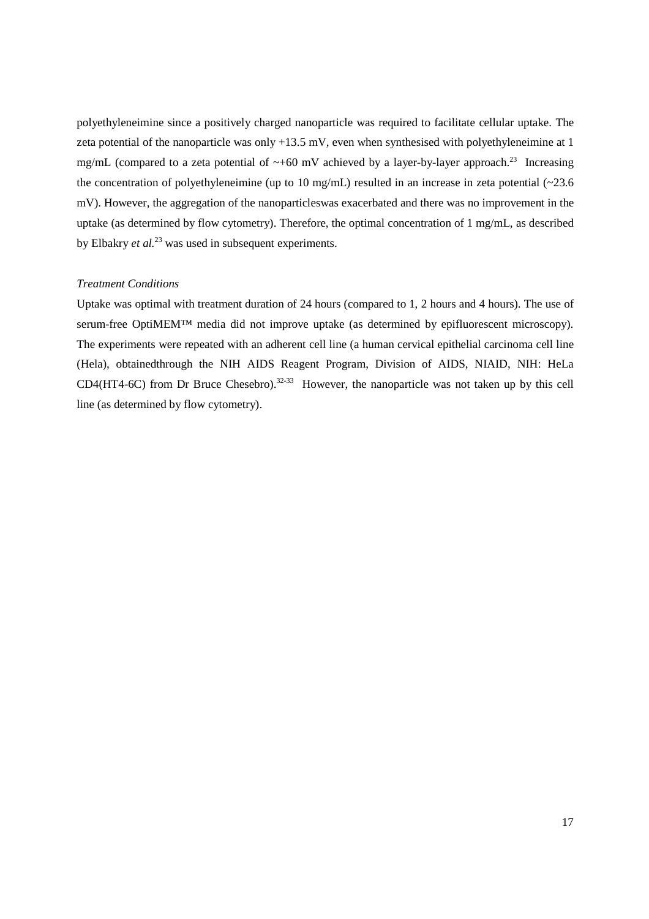polyethyleneimine since a positively charged nanoparticle was required to facilitate cellular uptake. The zeta potential of the nanoparticle was only +13.5 mV, even when synthesised with polyethyleneimine at 1 mg/mL (compared to a zeta potential of  $\sim$ +60 mV achieved by a layer-by-layer approach.<sup>23</sup> Increasing the concentration of polyethyleneimine (up to 10 mg/mL) resulted in an increase in zeta potential  $\langle$  ~23.6 mV). However, the aggregation of the nanoparticleswas exacerbated and there was no improvement in the uptake (as determined by flow cytometry). Therefore, the optimal concentration of 1 mg/mL, as described by Elbakry *et al.*23 was used in subsequent experiments.

# *Treatment Conditions*

Uptake was optimal with treatment duration of 24 hours (compared to 1, 2 hours and 4 hours). The use of serum-free OptiMEM™ media did not improve uptake (as determined by epifluorescent microscopy). The experiments were repeated with an adherent cell line (a human cervical epithelial carcinoma cell line (Hela), obtainedthrough the NIH AIDS Reagent Program, Division of AIDS, NIAID, NIH: HeLa CD4(HT4-6C) from Dr Bruce Chesebro).<sup>32-33</sup> However, the nanoparticle was not taken up by this cell line (as determined by flow cytometry).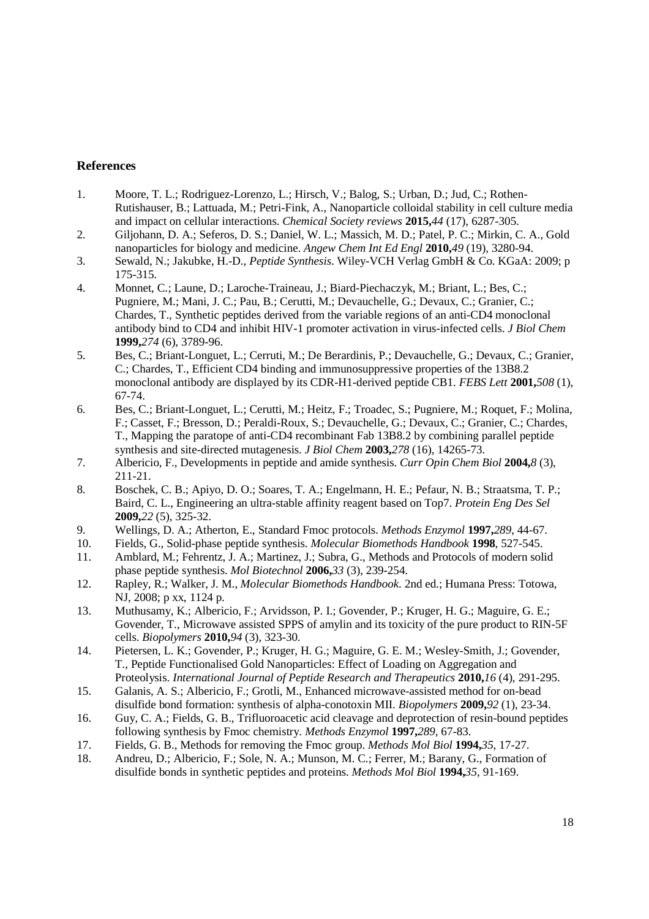# **References**

- 1. Moore, T. L.; Rodriguez-Lorenzo, L.; Hirsch, V.; Balog, S.; Urban, D.; Jud, C.; Rothen-Rutishauser, B.; Lattuada, M.; Petri-Fink, A., Nanoparticle colloidal stability in cell culture media and impact on cellular interactions. *Chemical Society reviews* **2015,***44* (17), 6287-305.
- 2. Giljohann, D. A.; Seferos, D. S.; Daniel, W. L.; Massich, M. D.; Patel, P. C.; Mirkin, C. A., Gold nanoparticles for biology and medicine. *Angew Chem Int Ed Engl* **2010,***49* (19), 3280-94.
- 3. Sewald, N.; Jakubke, H.-D., *Peptide Synthesis*. Wiley-VCH Verlag GmbH & Co. KGaA: 2009; p 175-315.
- 4. Monnet, C.; Laune, D.; Laroche-Traineau, J.; Biard-Piechaczyk, M.; Briant, L.; Bes, C.; Pugniere, M.; Mani, J. C.; Pau, B.; Cerutti, M.; Devauchelle, G.; Devaux, C.; Granier, C.; Chardes, T., Synthetic peptides derived from the variable regions of an anti-CD4 monoclonal antibody bind to CD4 and inhibit HIV-1 promoter activation in virus-infected cells. *J Biol Chem*  **1999,***274* (6), 3789-96.
- 5. Bes, C.; Briant-Longuet, L.; Cerruti, M.; De Berardinis, P.; Devauchelle, G.; Devaux, C.; Granier, C.; Chardes, T., Efficient CD4 binding and immunosuppressive properties of the 13B8.2 monoclonal antibody are displayed by its CDR-H1-derived peptide CB1. *FEBS Lett* **2001,***508* (1), 67-74.
- 6. Bes, C.; Briant-Longuet, L.; Cerutti, M.; Heitz, F.; Troadec, S.; Pugniere, M.; Roquet, F.; Molina, F.; Casset, F.; Bresson, D.; Peraldi-Roux, S.; Devauchelle, G.; Devaux, C.; Granier, C.; Chardes, T., Mapping the paratope of anti-CD4 recombinant Fab 13B8.2 by combining parallel peptide synthesis and site-directed mutagenesis. *J Biol Chem* **2003,***278* (16), 14265-73.
- 7. Albericio, F., Developments in peptide and amide synthesis. *Curr Opin Chem Biol* **2004,***8* (3), 211-21.
- 8. Boschek, C. B.; Apiyo, D. O.; Soares, T. A.; Engelmann, H. E.; Pefaur, N. B.; Straatsma, T. P.; Baird, C. L., Engineering an ultra-stable affinity reagent based on Top7. *Protein Eng Des Sel*  **2009,***22* (5), 325-32.
- 9. Wellings, D. A.; Atherton, E., Standard Fmoc protocols. *Methods Enzymol* **1997,***289*, 44-67.
- 10. Fields, G., Solid-phase peptide synthesis. *Molecular Biomethods Handbook* **1998**, 527-545.
- 11. Amblard, M.; Fehrentz, J. A.; Martinez, J.; Subra, G., Methods and Protocols of modern solid phase peptide synthesis. *Mol Biotechnol* **2006,***33* (3), 239-254.
- 12. Rapley, R.; Walker, J. M., *Molecular Biomethods Handbook*. 2nd ed.; Humana Press: Totowa, NJ, 2008; p xx, 1124 p.
- 13. Muthusamy, K.; Albericio, F.; Arvidsson, P. I.; Govender, P.; Kruger, H. G.; Maguire, G. E.; Govender, T., Microwave assisted SPPS of amylin and its toxicity of the pure product to RIN-5F cells. *Biopolymers* **2010,***94* (3), 323-30.
- 14. Pietersen, L. K.; Govender, P.; Kruger, H. G.; Maguire, G. E. M.; Wesley-Smith, J.; Govender, T., Peptide Functionalised Gold Nanoparticles: Effect of Loading on Aggregation and Proteolysis. *International Journal of Peptide Research and Therapeutics* **2010,***16* (4), 291-295.
- 15. Galanis, A. S.; Albericio, F.; Grotli, M., Enhanced microwave-assisted method for on-bead disulfide bond formation: synthesis of alpha-conotoxin MII. *Biopolymers* **2009,***92* (1), 23-34.
- 16. Guy, C. A.; Fields, G. B., Trifluoroacetic acid cleavage and deprotection of resin-bound peptides following synthesis by Fmoc chemistry. *Methods Enzymol* **1997,***289*, 67-83.
- 17. Fields, G. B., Methods for removing the Fmoc group. *Methods Mol Biol* **1994,***35*, 17-27.
- 18. Andreu, D.; Albericio, F.; Sole, N. A.; Munson, M. C.; Ferrer, M.; Barany, G., Formation of disulfide bonds in synthetic peptides and proteins. *Methods Mol Biol* **1994,***35*, 91-169.